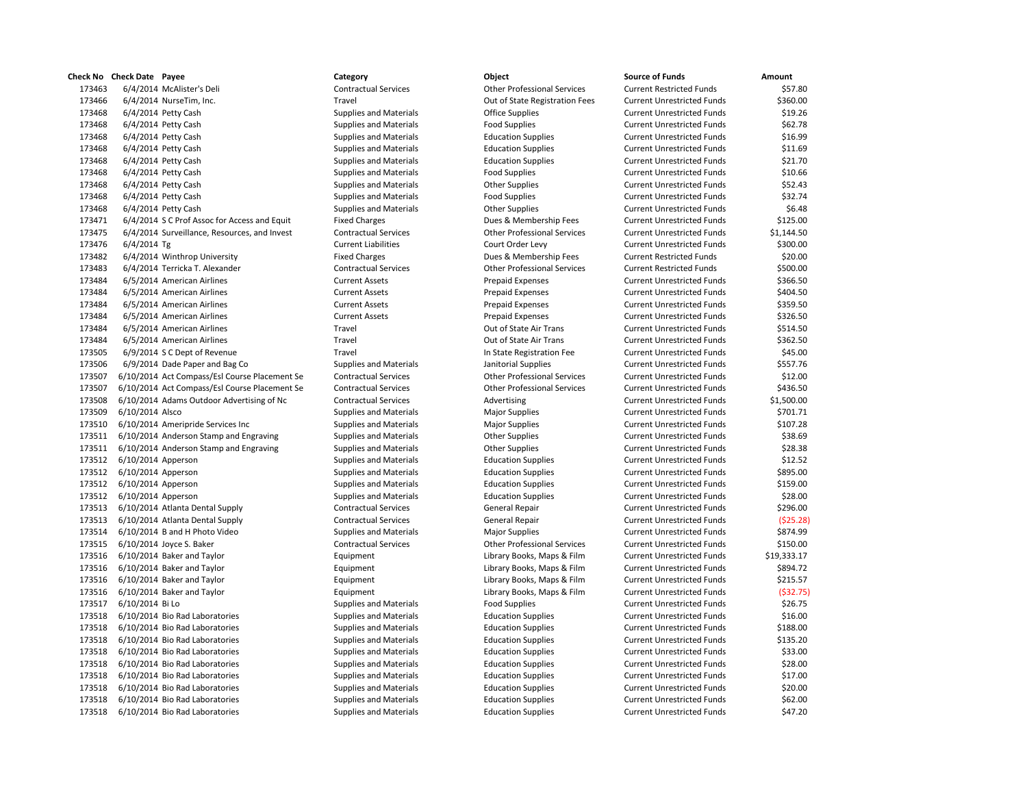| песк мо | Check Date Payee                              | category                      | Object                             | Source of Funds                   | Amount      |
|---------|-----------------------------------------------|-------------------------------|------------------------------------|-----------------------------------|-------------|
| 173463  | 6/4/2014 McAlister's Deli                     | <b>Contractual Services</b>   | <b>Other Professional Services</b> | <b>Current Restricted Funds</b>   | \$57.80     |
| 173466  | 6/4/2014 NurseTim, Inc.                       | Travel                        | Out of State Registration Fees     | <b>Current Unrestricted Funds</b> | \$360.00    |
| 173468  | 6/4/2014 Petty Cash                           | <b>Supplies and Materials</b> | <b>Office Supplies</b>             | <b>Current Unrestricted Funds</b> | \$19.26     |
| 173468  | 6/4/2014 Petty Cash                           | <b>Supplies and Materials</b> | <b>Food Supplies</b>               | <b>Current Unrestricted Funds</b> | \$62.78     |
| 173468  | 6/4/2014 Petty Cash                           | <b>Supplies and Materials</b> | <b>Education Supplies</b>          | <b>Current Unrestricted Funds</b> | \$16.99     |
| 173468  | 6/4/2014 Petty Cash                           | <b>Supplies and Materials</b> | <b>Education Supplies</b>          | <b>Current Unrestricted Funds</b> | \$11.69     |
| 173468  | 6/4/2014 Petty Cash                           | <b>Supplies and Materials</b> | <b>Education Supplies</b>          | <b>Current Unrestricted Funds</b> | \$21.70     |
| 173468  | 6/4/2014 Petty Cash                           | <b>Supplies and Materials</b> | <b>Food Supplies</b>               | <b>Current Unrestricted Funds</b> | \$10.66     |
| 173468  | 6/4/2014 Petty Cash                           | <b>Supplies and Materials</b> | <b>Other Supplies</b>              | <b>Current Unrestricted Funds</b> | \$52.43     |
| 173468  | 6/4/2014 Petty Cash                           | <b>Supplies and Materials</b> | <b>Food Supplies</b>               | <b>Current Unrestricted Funds</b> | \$32.74     |
| 173468  | 6/4/2014 Petty Cash                           | <b>Supplies and Materials</b> | <b>Other Supplies</b>              | <b>Current Unrestricted Funds</b> | \$6.48      |
| 173471  | 6/4/2014 S C Prof Assoc for Access and Equit  | <b>Fixed Charges</b>          | Dues & Membership Fees             | <b>Current Unrestricted Funds</b> | \$125.00    |
| 173475  | 6/4/2014 Surveillance, Resources, and Invest  | <b>Contractual Services</b>   | <b>Other Professional Services</b> | <b>Current Unrestricted Funds</b> | \$1,144.50  |
| 173476  | $6/4/2014$ Tg                                 | <b>Current Liabilities</b>    | Court Order Levy                   | <b>Current Unrestricted Funds</b> | \$300.00    |
| 173482  | 6/4/2014 Winthrop University                  | <b>Fixed Charges</b>          | Dues & Membership Fees             | <b>Current Restricted Funds</b>   | \$20.00     |
| 173483  | 6/4/2014 Terricka T. Alexander                | <b>Contractual Services</b>   | <b>Other Professional Services</b> | <b>Current Restricted Funds</b>   | \$500.00    |
| 173484  | 6/5/2014 American Airlines                    | <b>Current Assets</b>         | <b>Prepaid Expenses</b>            | <b>Current Unrestricted Funds</b> | \$366.50    |
| 173484  | 6/5/2014 American Airlines                    | <b>Current Assets</b>         | <b>Prepaid Expenses</b>            | <b>Current Unrestricted Funds</b> | \$404.50    |
| 173484  | 6/5/2014 American Airlines                    | <b>Current Assets</b>         | <b>Prepaid Expenses</b>            | <b>Current Unrestricted Funds</b> | \$359.50    |
| 173484  | 6/5/2014 American Airlines                    | <b>Current Assets</b>         | <b>Prepaid Expenses</b>            | <b>Current Unrestricted Funds</b> | \$326.50    |
| 173484  | 6/5/2014 American Airlines                    | Travel                        | Out of State Air Trans             | <b>Current Unrestricted Funds</b> | \$514.50    |
| 173484  | 6/5/2014 American Airlines                    | Travel                        | Out of State Air Trans             | <b>Current Unrestricted Funds</b> | \$362.50    |
| 173505  | 6/9/2014 S C Dept of Revenue                  | Travel                        | In State Registration Fee          | <b>Current Unrestricted Funds</b> | \$45.00     |
| 173506  | 6/9/2014 Dade Paper and Bag Co                | <b>Supplies and Materials</b> | Janitorial Supplies                | <b>Current Unrestricted Funds</b> | \$557.76    |
| 173507  | 6/10/2014 Act Compass/Esl Course Placement Se | <b>Contractual Services</b>   | <b>Other Professional Services</b> | <b>Current Unrestricted Funds</b> | \$12.00     |
| 173507  | 6/10/2014 Act Compass/Esl Course Placement Se | <b>Contractual Services</b>   | <b>Other Professional Services</b> | <b>Current Unrestricted Funds</b> | \$436.50    |
| 173508  | 6/10/2014 Adams Outdoor Advertising of Nc     | <b>Contractual Services</b>   | Advertising                        | <b>Current Unrestricted Funds</b> | \$1,500.00  |
| 173509  | 6/10/2014 Alsco                               | <b>Supplies and Materials</b> | <b>Major Supplies</b>              | <b>Current Unrestricted Funds</b> | \$701.71    |
| 173510  | 6/10/2014 Ameripride Services Inc             | <b>Supplies and Materials</b> | <b>Major Supplies</b>              | <b>Current Unrestricted Funds</b> | \$107.28    |
| 173511  | 6/10/2014 Anderson Stamp and Engraving        | <b>Supplies and Materials</b> | <b>Other Supplies</b>              | <b>Current Unrestricted Funds</b> | \$38.69     |
| 173511  | 6/10/2014 Anderson Stamp and Engraving        | <b>Supplies and Materials</b> | <b>Other Supplies</b>              | <b>Current Unrestricted Funds</b> | \$28.38     |
| 173512  | $6/10/2014$ Apperson                          | <b>Supplies and Materials</b> | <b>Education Supplies</b>          | <b>Current Unrestricted Funds</b> | \$12.52     |
| 173512  | 6/10/2014 Apperson                            | <b>Supplies and Materials</b> | <b>Education Supplies</b>          | <b>Current Unrestricted Funds</b> | \$895.00    |
| 173512  | $6/10/2014$ Apperson                          | <b>Supplies and Materials</b> | <b>Education Supplies</b>          | <b>Current Unrestricted Funds</b> | \$159.00    |
| 173512  | $6/10/2014$ Apperson                          | <b>Supplies and Materials</b> | <b>Education Supplies</b>          | <b>Current Unrestricted Funds</b> | \$28.00     |
| 173513  | 6/10/2014 Atlanta Dental Supply               | <b>Contractual Services</b>   | General Repair                     | <b>Current Unrestricted Funds</b> | \$296.00    |
| 173513  | 6/10/2014 Atlanta Dental Supply               | <b>Contractual Services</b>   | General Repair                     | <b>Current Unrestricted Funds</b> | ( \$25.28)  |
| 173514  | 6/10/2014 B and H Photo Video                 | <b>Supplies and Materials</b> | <b>Major Supplies</b>              | <b>Current Unrestricted Funds</b> | \$874.99    |
| 173515  | 6/10/2014 Joyce S. Baker                      | <b>Contractual Services</b>   | <b>Other Professional Services</b> | <b>Current Unrestricted Funds</b> | \$150.00    |
| 173516  | 6/10/2014 Baker and Taylor                    | Equipment                     | Library Books, Maps & Film         | <b>Current Unrestricted Funds</b> | \$19,333.17 |
| 173516  | 6/10/2014 Baker and Taylor                    | Equipment                     | Library Books, Maps & Film         | <b>Current Unrestricted Funds</b> | \$894.72    |
| 173516  | 6/10/2014 Baker and Taylor                    | Equipment                     | Library Books, Maps & Film         | <b>Current Unrestricted Funds</b> | \$215.57    |
| 173516  | 6/10/2014 Baker and Taylor                    | Equipment                     | Library Books, Maps & Film         | <b>Current Unrestricted Funds</b> | (532.75)    |
| 173517  | 6/10/2014 Bi Lo                               | <b>Supplies and Materials</b> | <b>Food Supplies</b>               | <b>Current Unrestricted Funds</b> | \$26.75     |
| 173518  | 6/10/2014 Bio Rad Laboratories                | <b>Supplies and Materials</b> | <b>Education Supplies</b>          | <b>Current Unrestricted Funds</b> | \$16.00     |
| 173518  | 6/10/2014 Bio Rad Laboratories                | <b>Supplies and Materials</b> | <b>Education Supplies</b>          | <b>Current Unrestricted Funds</b> | \$188.00    |
| 173518  | 6/10/2014 Bio Rad Laboratories                | <b>Supplies and Materials</b> | <b>Education Supplies</b>          | <b>Current Unrestricted Funds</b> | \$135.20    |
| 173518  | 6/10/2014 Bio Rad Laboratories                | <b>Supplies and Materials</b> | <b>Education Supplies</b>          | <b>Current Unrestricted Funds</b> | \$33.00     |
| 173518  | 6/10/2014 Bio Rad Laboratories                | <b>Supplies and Materials</b> | <b>Education Supplies</b>          | <b>Current Unrestricted Funds</b> | \$28.00     |
| 173518  | 6/10/2014 Bio Rad Laboratories                | <b>Supplies and Materials</b> | <b>Education Supplies</b>          | <b>Current Unrestricted Funds</b> | \$17.00     |
| 173518  | 6/10/2014 Bio Rad Laboratories                | <b>Supplies and Materials</b> | <b>Education Supplies</b>          | <b>Current Unrestricted Funds</b> | \$20.00     |
| 173518  | 6/10/2014 Bio Rad Laboratories                | <b>Supplies and Materials</b> | <b>Education Supplies</b>          | <b>Current Unrestricted Funds</b> | \$62.00     |
|         | 173518 6/10/2014 Bio Rad Laboratories         | <b>Sunnlies and Materials</b> | <b>Education Sunnlies</b>          | Current Unrestricted Funds        | \$47.20     |

## **Check No Check Date Payee Category Category Category Category Category C** Supplies and Materials Food Supplies Supplies and Materials Major Supplies

| <b>Check Date Payee</b>                                  | Category                      | Object                                     | <b>Source of Funds</b>            | Amount               |
|----------------------------------------------------------|-------------------------------|--------------------------------------------|-----------------------------------|----------------------|
| 6/4/2014 McAlister's Deli                                | <b>Contractual Services</b>   | <b>Other Professional Services</b>         | <b>Current Restricted Funds</b>   | \$57.80              |
| 6/4/2014 NurseTim, Inc.                                  | Travel                        | Out of State Registration Fees             | <b>Current Unrestricted Funds</b> | \$360.00             |
| 6/4/2014 Petty Cash                                      | <b>Supplies and Materials</b> | <b>Office Supplies</b>                     | <b>Current Unrestricted Funds</b> | \$19.26              |
| 6/4/2014 Petty Cash                                      | <b>Supplies and Materials</b> | <b>Food Supplies</b>                       | <b>Current Unrestricted Funds</b> | \$62.78              |
| 6/4/2014 Petty Cash                                      | <b>Supplies and Materials</b> | <b>Education Supplies</b>                  | <b>Current Unrestricted Funds</b> | \$16.99              |
| 6/4/2014 Petty Cash                                      | <b>Supplies and Materials</b> | <b>Education Supplies</b>                  | <b>Current Unrestricted Funds</b> | \$11.69              |
| 6/4/2014 Petty Cash                                      | <b>Supplies and Materials</b> | <b>Education Supplies</b>                  | <b>Current Unrestricted Funds</b> | \$21.70              |
| 6/4/2014 Petty Cash                                      | <b>Supplies and Materials</b> | <b>Food Supplies</b>                       | <b>Current Unrestricted Funds</b> | \$10.66              |
| 6/4/2014 Petty Cash                                      | <b>Supplies and Materials</b> | <b>Other Supplies</b>                      | <b>Current Unrestricted Funds</b> | \$52.43              |
| 6/4/2014 Petty Cash                                      | Supplies and Materials        | <b>Food Supplies</b>                       | <b>Current Unrestricted Funds</b> | \$32.74              |
| 6/4/2014 Petty Cash                                      | <b>Supplies and Materials</b> | <b>Other Supplies</b>                      | <b>Current Unrestricted Funds</b> | \$6.48               |
| 6/4/2014 S C Prof Assoc for Access and Equit             | <b>Fixed Charges</b>          | Dues & Membership Fees                     | <b>Current Unrestricted Funds</b> | \$125.00             |
| 6/4/2014 Surveillance, Resources, and Invest             | <b>Contractual Services</b>   | <b>Other Professional Services</b>         | <b>Current Unrestricted Funds</b> | \$1,144.50           |
| 6/4/2014 Tg                                              | <b>Current Liabilities</b>    | Court Order Levy                           | <b>Current Unrestricted Funds</b> | \$300.00             |
| 6/4/2014 Winthrop University                             | <b>Fixed Charges</b>          | Dues & Membership Fees                     | <b>Current Restricted Funds</b>   | \$20.00              |
| 6/4/2014 Terricka T. Alexander                           | <b>Contractual Services</b>   | <b>Other Professional Services</b>         | <b>Current Restricted Funds</b>   | \$500.00             |
| 6/5/2014 American Airlines                               | <b>Current Assets</b>         | <b>Prepaid Expenses</b>                    | <b>Current Unrestricted Funds</b> | \$366.50             |
| 6/5/2014 American Airlines                               | <b>Current Assets</b>         | <b>Prepaid Expenses</b>                    | <b>Current Unrestricted Funds</b> | \$404.50             |
| 6/5/2014 American Airlines                               | <b>Current Assets</b>         | <b>Prepaid Expenses</b>                    | <b>Current Unrestricted Funds</b> | \$359.50             |
|                                                          | <b>Current Assets</b>         |                                            | <b>Current Unrestricted Funds</b> |                      |
| 6/5/2014 American Airlines<br>6/5/2014 American Airlines | Travel                        | Prepaid Expenses<br>Out of State Air Trans | <b>Current Unrestricted Funds</b> | \$326.50<br>\$514.50 |
|                                                          |                               |                                            |                                   |                      |
| 6/5/2014 American Airlines                               | Travel                        | Out of State Air Trans                     | <b>Current Unrestricted Funds</b> | \$362.50             |
| 6/9/2014 S C Dept of Revenue                             | Travel                        | In State Registration Fee                  | <b>Current Unrestricted Funds</b> | \$45.00              |
| 6/9/2014 Dade Paper and Bag Co                           | <b>Supplies and Materials</b> | Janitorial Supplies                        | <b>Current Unrestricted Funds</b> | \$557.76             |
| 6/10/2014 Act Compass/Esl Course Placement Se            | <b>Contractual Services</b>   | <b>Other Professional Services</b>         | <b>Current Unrestricted Funds</b> | \$12.00              |
| 6/10/2014 Act Compass/Esl Course Placement Se            | <b>Contractual Services</b>   | <b>Other Professional Services</b>         | <b>Current Unrestricted Funds</b> | \$436.50             |
| 6/10/2014 Adams Outdoor Advertising of Nc                | <b>Contractual Services</b>   | Advertising                                | <b>Current Unrestricted Funds</b> | \$1,500.00           |
| 6/10/2014 Alsco                                          | <b>Supplies and Materials</b> | <b>Major Supplies</b>                      | <b>Current Unrestricted Funds</b> | \$701.71             |
| 6/10/2014 Ameripride Services Inc                        | <b>Supplies and Materials</b> | <b>Major Supplies</b>                      | <b>Current Unrestricted Funds</b> | \$107.28             |
| 6/10/2014 Anderson Stamp and Engraving                   | <b>Supplies and Materials</b> | <b>Other Supplies</b>                      | <b>Current Unrestricted Funds</b> | \$38.69              |
| 6/10/2014 Anderson Stamp and Engraving                   | <b>Supplies and Materials</b> | <b>Other Supplies</b>                      | <b>Current Unrestricted Funds</b> | \$28.38              |
| $6/10/2014$ Apperson                                     | <b>Supplies and Materials</b> | <b>Education Supplies</b>                  | <b>Current Unrestricted Funds</b> | \$12.52              |
| $6/10/2014$ Apperson                                     | <b>Supplies and Materials</b> | <b>Education Supplies</b>                  | <b>Current Unrestricted Funds</b> | \$895.00             |
| 6/10/2014 Apperson                                       | <b>Supplies and Materials</b> | <b>Education Supplies</b>                  | <b>Current Unrestricted Funds</b> | \$159.00             |
| $6/10/2014$ Apperson                                     | <b>Supplies and Materials</b> | <b>Education Supplies</b>                  | <b>Current Unrestricted Funds</b> | \$28.00              |
| 6/10/2014 Atlanta Dental Supply                          | <b>Contractual Services</b>   | General Repair                             | <b>Current Unrestricted Funds</b> | \$296.00             |
| 6/10/2014 Atlanta Dental Supply                          | <b>Contractual Services</b>   | General Repair                             | <b>Current Unrestricted Funds</b> | (525.28)             |
| 6/10/2014 B and H Photo Video                            | <b>Supplies and Materials</b> | <b>Major Supplies</b>                      | <b>Current Unrestricted Funds</b> | \$874.99             |
| 6/10/2014 Joyce S. Baker                                 | <b>Contractual Services</b>   | <b>Other Professional Services</b>         | <b>Current Unrestricted Funds</b> | \$150.00             |
| 6/10/2014 Baker and Taylor                               | Equipment                     | Library Books, Maps & Film                 | <b>Current Unrestricted Funds</b> | \$19,333.17          |
| 6/10/2014 Baker and Taylor                               | Equipment                     | Library Books, Maps & Film                 | <b>Current Unrestricted Funds</b> | \$894.72             |
| 6/10/2014 Baker and Taylor                               | Equipment                     | Library Books, Maps & Film                 | <b>Current Unrestricted Funds</b> | \$215.57             |
| 6/10/2014 Baker and Taylor                               | Equipment                     | Library Books, Maps & Film                 | <b>Current Unrestricted Funds</b> | ( \$32.75)           |
| 6/10/2014 Bi Lo                                          | <b>Supplies and Materials</b> | <b>Food Supplies</b>                       | <b>Current Unrestricted Funds</b> | \$26.75              |
| 6/10/2014 Bio Rad Laboratories                           | <b>Supplies and Materials</b> | <b>Education Supplies</b>                  | <b>Current Unrestricted Funds</b> | \$16.00              |
| 6/10/2014 Bio Rad Laboratories                           | <b>Supplies and Materials</b> | <b>Education Supplies</b>                  | <b>Current Unrestricted Funds</b> | \$188.00             |
| 6/10/2014 Bio Rad Laboratories                           | <b>Supplies and Materials</b> | <b>Education Supplies</b>                  | <b>Current Unrestricted Funds</b> | \$135.20             |
| 6/10/2014 Bio Rad Laboratories                           | <b>Supplies and Materials</b> | <b>Education Supplies</b>                  | <b>Current Unrestricted Funds</b> | \$33.00              |
| 6/10/2014 Bio Rad Laboratories                           | <b>Supplies and Materials</b> | <b>Education Supplies</b>                  | <b>Current Unrestricted Funds</b> | \$28.00              |
| 6/10/2014 Bio Rad Laboratories                           | <b>Supplies and Materials</b> | <b>Education Supplies</b>                  | <b>Current Unrestricted Funds</b> | \$17.00              |
| 6/10/2014 Bio Rad Laboratories                           | <b>Supplies and Materials</b> | <b>Education Supplies</b>                  | <b>Current Unrestricted Funds</b> | \$20.00              |
| 6/10/2014 Bio Rad Laboratories                           | <b>Supplies and Materials</b> | <b>Education Supplies</b>                  | <b>Current Unrestricted Funds</b> | \$62.00              |
| 6/10/2014 Bio Rad Laboratories                           | <b>Supplies and Materials</b> | <b>Education Supplies</b>                  | <b>Current Unrestricted Funds</b> | \$47.20              |
|                                                          |                               |                                            |                                   |                      |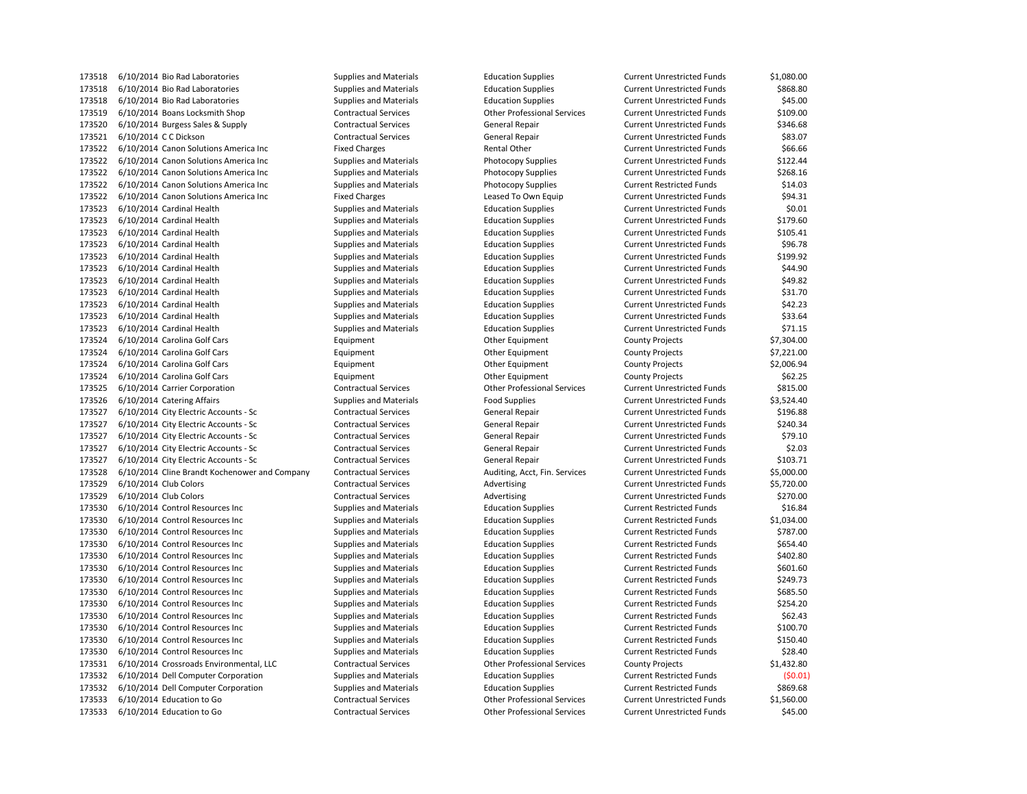6/10/2014 Bio Rad Laboratories Supplies and Materials Education Supplies Current Unrestricted Funds \$868.80 173518 6/10/2014 Bio Rad Laboratories Supplies and Materials Education Supplies Supplies Current Unrestricted Funds \$45.00 6/10/2014 Boans Locksmith Shop Contractual Services Other Professional Services Current Unrestricted Funds \$109.00 6/10/2014 Burgess Sales & Supply Contractual Services General Repair Current Unrestricted Funds \$346.68 6/10/2014 C C Dickson Contractual Services General Repair Current Unrestricted Funds \$83.07 6/10/2014 Canon Solutions America Inc Fixed Charges Rental Other Current Unrestricted Funds \$66.66 6/10/2014 Canon Solutions America Inc Supplies and Materials Photocopy Supplies Current Unrestricted Funds \$122.44 6/10/2014 Canon Solutions America Inc Supplies and Materials Photocopy Supplies Current Unrestricted Funds \$268.16 6/10/2014 Canon Solutions America Inc Supplies and Materials Photocopy Supplies Current Restricted Funds \$14.03 173522 6/10/2014 Canon Solutions America Inc Fixed Charges Leased To Own Equip Current Unrestricted Funds \$94.31 6/10/2014 Cardinal Health Supplies and Materials Education Supplies Current Unrestricted Funds \$0.01 6/10/2014 Cardinal Health Supplies and Materials Education Supplies Current Unrestricted Funds \$179.60 6/10/2014 Cardinal Health Supplies and Materials Education Supplies Current Unrestricted Funds \$105.41 6/10/2014 Cardinal Health Supplies and Materials Education Supplies Current Unrestricted Funds \$96.78 6/10/2014 Cardinal Health Supplies and Materials Education Supplies Current Unrestricted Funds \$199.92 6/10/2014 Cardinal Health Supplies and Materials Education Supplies Current Unrestricted Funds \$44.90 6/10/2014 Cardinal Health Supplies and Materials Education Supplies Current Unrestricted Funds \$49.82 6/10/2014 Cardinal Health Supplies and Materials Education Supplies Current Unrestricted Funds \$31.70 6/10/2014 Cardinal Health Supplies and Materials Education Supplies Current Unrestricted Funds \$42.23 6/10/2014 Cardinal Health Supplies and Materials Education Supplies Current Unrestricted Funds \$33.64 6/10/2014 Cardinal Health Supplies and Materials Education Supplies Current Unrestricted Funds \$71.15 6/10/2014 Carolina Golf Cars Equipment Other Equipment County Projects \$7,304.00 6/10/2014 Carolina Golf Cars Equipment Other Equipment County Projects \$7,221.00 6/10/2014 Carolina Golf Cars Equipment Other Equipment County Projects \$2,006.94 6/10/2014 Carolina Golf Cars Equipment Other Equipment County Projects \$62.25 6/10/2014 Carrier Corporation Contractual Services Other Professional Services Current Unrestricted Funds \$815.00 173526 6/10/2014 Catering Affairs external states of the Supplies and Materials Food Supplies Food Supplies Current Unrestricted Funds \$3,524.40 6/10/2014 City Electric Accounts - Sc Contractual Services General Repair Current Unrestricted Funds \$196.88 6/10/2014 City Electric Accounts - Sc Contractual Services General Repair Current Unrestricted Funds \$240.34 173527 6/10/2014 City Electric Accounts - Sc Contractual Services General Repair Current Unrestricted Funds \$79.10 6/10/2014 City Electric Accounts - Sc Contractual Services General Repair Current Unrestricted Funds \$2.03 173527 6/10/2014 City Electric Accounts - Sc Contractual Services General Repair Current Unrestricted Funds \$103.71 6/10/2014 Cline Brandt Kochenower and Company Contractual Services Auditing, Acct, Fin. Services Current Unrestricted Funds \$5,000.00 6/10/2014 Club Colors Contractual Services Advertising Current Unrestricted Funds \$5,720.00 173529 6/10/2014 Club Colors Contractual Services Advertising Current Unrestricted Funds \$270.00 173530 6/10/2014 Control Resources Inc Supplies and Materials Education Supplies Current Restricted Funds \$16.84 6/10/2014 Control Resources Inc Supplies and Materials Education Supplies Current Restricted Funds \$1,034.00 6/10/2014 Control Resources Inc Supplies and Materials Education Supplies Current Restricted Funds \$787.00 6/10/2014 Control Resources Inc Supplies and Materials Education Supplies Current Restricted Funds \$654.40 6/10/2014 Control Resources Inc Supplies and Materials Education Supplies Current Restricted Funds \$402.80 173530 6/10/2014 Control Resources Inc Supplies and Materials Education Supplies Current Restricted Funds \$601.60 6/10/2014 Control Resources Inc Supplies and Materials Education Supplies Current Restricted Funds \$249.73 6/10/2014 Control Resources Inc Supplies and Materials Education Supplies Current Restricted Funds \$685.50 6/10/2014 Control Resources Inc Supplies and Materials Education Supplies Current Restricted Funds \$254.20 173530 6/10/2014 Control Resources Inc Supplies and Materials Education Supplies Current Restricted Funds \$62.43 6/10/2014 Control Resources Inc Supplies and Materials Education Supplies Current Restricted Funds \$100.70 6/10/2014 Control Resources Inc Supplies and Materials Education Supplies Current Restricted Funds \$150.40 6/10/2014 Control Resources Inc Supplies and Materials Education Supplies Current Restricted Funds \$28.40 6/10/2014 Crossroads Environmental, LLC Contractual Services Other Professional Services County Projects \$1,432.80 6/10/2014 Dell Computer Corporation Supplies and Materials Education Supplies Current Restricted Funds (\$0.01) 6/10/2014 Dell Computer Corporation Supplies and Materials Education Supplies Current Restricted Funds \$869.68 6/10/2014 Education to Go Contractual Services Other Professional Services Current Unrestricted Funds \$1,560.00 6/10/2014 Education to Go Contractual Services Other Professional Services Current Unrestricted Funds \$45.00

6/10/2014 Bio Rad Laboratories Supplies and Materials Education Supplies Current Unrestricted Funds \$1,080.00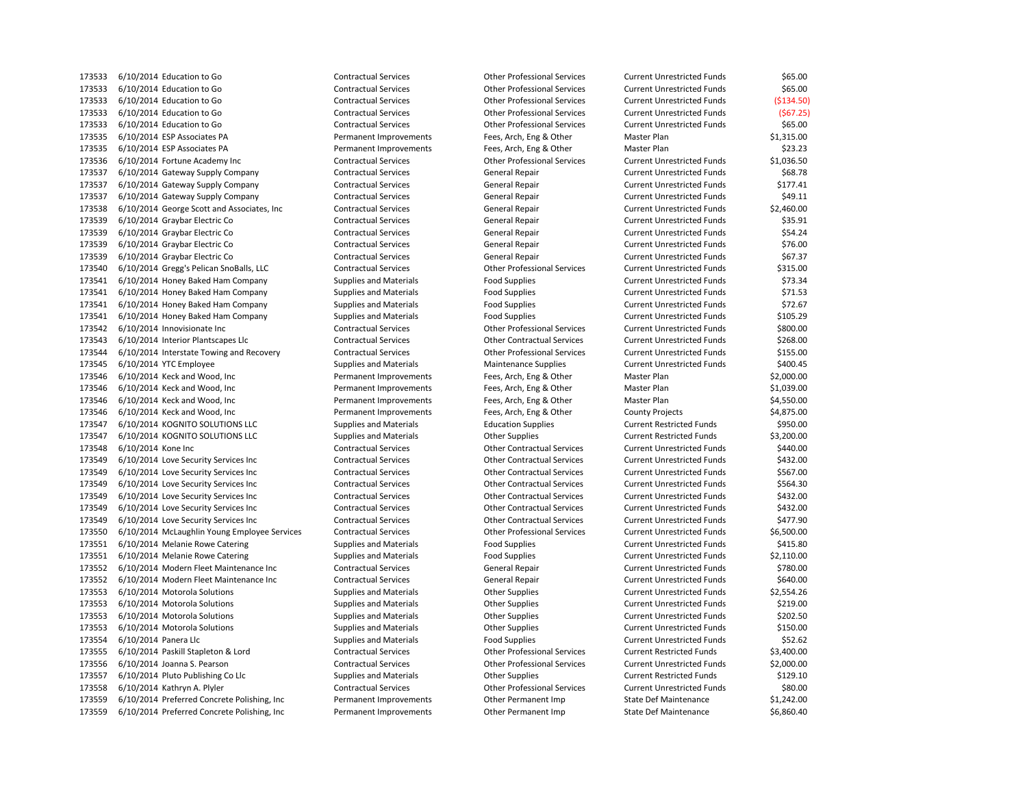6/10/2014 Education to Go Contractual Services Other Professional Services Current Unrestricted Funds \$65.00 6/10/2014 Education to Go Contractual Services Other Professional Services Current Unrestricted Funds (\$134.50) 6/10/2014 Education to Go Contractual Services Other Professional Services Current Unrestricted Funds (\$67.25) 6/10/2014 Education to Go Contractual Services Other Professional Services Current Unrestricted Funds \$65.00 6/10/2014 ESP Associates PA Permanent Improvements Fees, Arch, Eng & Other Master Plan \$1,315.00 6/10/2014 ESP Associates PA Permanent Improvements Fees, Arch, Eng & Other Master Plan \$23.23 6/10/2014 Fortune Academy Inc Contractual Services Other Professional Services Current Unrestricted Funds \$1,036.50 6/10/2014 Gateway Supply Company Contractual Services General Repair Current Unrestricted Funds \$68.78 173537 6/10/2014 Gateway Supply Company Contractual Services General Repair Current Unrestricted Funds \$177.41 173537 6/10/2014 Gateway Supply Company Contractual Services General Repair Current Unrestricted Funds \$49.11 173538 6/10/2014 George Scott and Associates, Inc Contractual Services General Repair Current Unrestricted Funds \$2,460.00 173539 6/10/2014 Graybar Electric Co Contractual Services General Repair Current Unrestricted Funds \$35.91 6/10/2014 Graybar Electric Co Contractual Services General Repair Current Unrestricted Funds \$54.24 173539 6/10/2014 Graybar Electric Co Contractual Services General Repair Current Unrestricted Funds \$76.00 6/10/2014 Graybar Electric Co Contractual Services General Repair Current Unrestricted Funds \$67.37 6/10/2014 Gregg's Pelican SnoBalls, LLC Contractual Services Other Professional Services Current Unrestricted Funds \$315.00 173541 6/10/2014 Honey Baked Ham Company Supplies and Materials Food Supplies Food Supplies Current Unrestricted Funds \$73.34 173541 6/10/2014 Honey Baked Ham Company Supplies and Materials Food Supplies Food Supplies Current Unrestricted Funds \$71.53 173541 6/10/2014 Honey Baked Ham Company Supplies and Materials Food Supplies Food Supplies Current Unrestricted Funds \$72.67 6/10/2014 Honey Baked Ham Company Supplies and Materials Food Supplies Current Unrestricted Funds \$105.29 6/10/2014 Innovisionate Inc Contractual Services Other Professional Services Current Unrestricted Funds \$800.00 6/10/2014 Interior Plantscapes Llc Contractual Services Other Contractual Services Current Unrestricted Funds \$268.00 6/10/2014 Interstate Towing and Recovery Contractual Services Other Professional Services Current Unrestricted Funds \$155.00 173545 6/10/2014 YTC Employee Supplies Supplies and Materials Maintenance Supplies Current Unrestricted Funds \$400.45 6/10/2014 Keck and Wood, Inc Permanent Improvements Fees, Arch, Eng & Other Master Plan \$2,000.00 6/10/2014 Keck and Wood, Inc Permanent Improvements Fees, Arch, Eng & Other Master Plan \$1,039.00 6/10/2014 Keck and Wood, Inc Permanent Improvements Fees, Arch, Eng & Other Master Plan \$4,550.00 6/10/2014 Keck and Wood, Inc Permanent Improvements Fees, Arch, Eng & Other County Projects \$4,875.00 6/10/2014 KOGNITO SOLUTIONS LLC Supplies and Materials Education Supplies Current Restricted Funds \$950.00 6/10/2014 KOGNITO SOLUTIONS LLC Supplies and Materials Other Supplies Current Restricted Funds \$3,200.00 6/10/2014 Kone Inc Contractual Services Other Contractual Services Current Unrestricted Funds \$440.00 6/10/2014 Love Security Services Inc Contractual Services Other Contractual Services Current Unrestricted Funds \$432.00 6/10/2014 Love Security Services Inc Contractual Services Other Contractual Services Current Unrestricted Funds \$567.00 6/10/2014 Love Security Services Inc Contractual Services Other Contractual Services Current Unrestricted Funds \$564.30 6/10/2014 Love Security Services Inc Contractual Services Other Contractual Services Current Unrestricted Funds \$432.00 6/10/2014 Love Security Services Inc Contractual Services Other Contractual Services Current Unrestricted Funds \$432.00 6/10/2014 Love Security Services Inc Contractual Services Other Contractual Services Current Unrestricted Funds \$477.90 6/10/2014 McLaughlin Young Employee Services Contractual Services Other Professional Services Current Unrestricted Funds \$6,500.00 173551 6/10/2014 Melanie Rowe Catering Supplies and Materials Food Supplies Current Unrestricted Funds \$415.80 173551 6/10/2014 Melanie Rowe Catering Supplies and Materials Food Supplies Food Supplies Current Unrestricted Funds \$2.110.00 173552 6/10/2014 Modern Fleet Maintenance Inc Contractual Services General Repair General Repair Current Unrestricted Funds \$780.00 6/10/2014 Modern Fleet Maintenance Inc Contractual Services General Repair Current Unrestricted Funds \$640.00 6/10/2014 Motorola Solutions Supplies and Materials Other Supplies Current Unrestricted Funds \$2,554.26 6/10/2014 Motorola Solutions Supplies and Materials Other Supplies Current Unrestricted Funds \$219.00 6/10/2014 Motorola Solutions Supplies and Materials Other Supplies Current Unrestricted Funds \$202.50 6/10/2014 Motorola Solutions Supplies and Materials Other Supplies Current Unrestricted Funds \$150.00 173554 6/10/2014 Panera Llc Supplies and Materials Food Supplies Current Unrestricted Funds \$52.62 6/10/2014 Paskill Stapleton & Lord Contractual Services Other Professional Services Current Restricted Funds \$3,400.00 6/10/2014 Joanna S. Pearson Contractual Services Other Professional Services Current Unrestricted Funds \$2,000.00 6/10/2014 Pluto Publishing Co Llc Supplies and Materials Other Supplies Current Restricted Funds \$129.10 6/10/2014 Kathryn A. Plyler Contractual Services Other Professional Services Current Unrestricted Funds \$80.00 6/10/2014 Preferred Concrete Polishing, Inc Permanent Improvements Other Permanent Imp State Def Maintenance \$1,242.00 6/10/2014 Preferred Concrete Polishing, Inc Permanent Improvements Other Permanent Imp State Def Maintenance \$6,860.40

6/10/2014 Education to Go Contractual Services Other Professional Services Current Unrestricted Funds \$65.00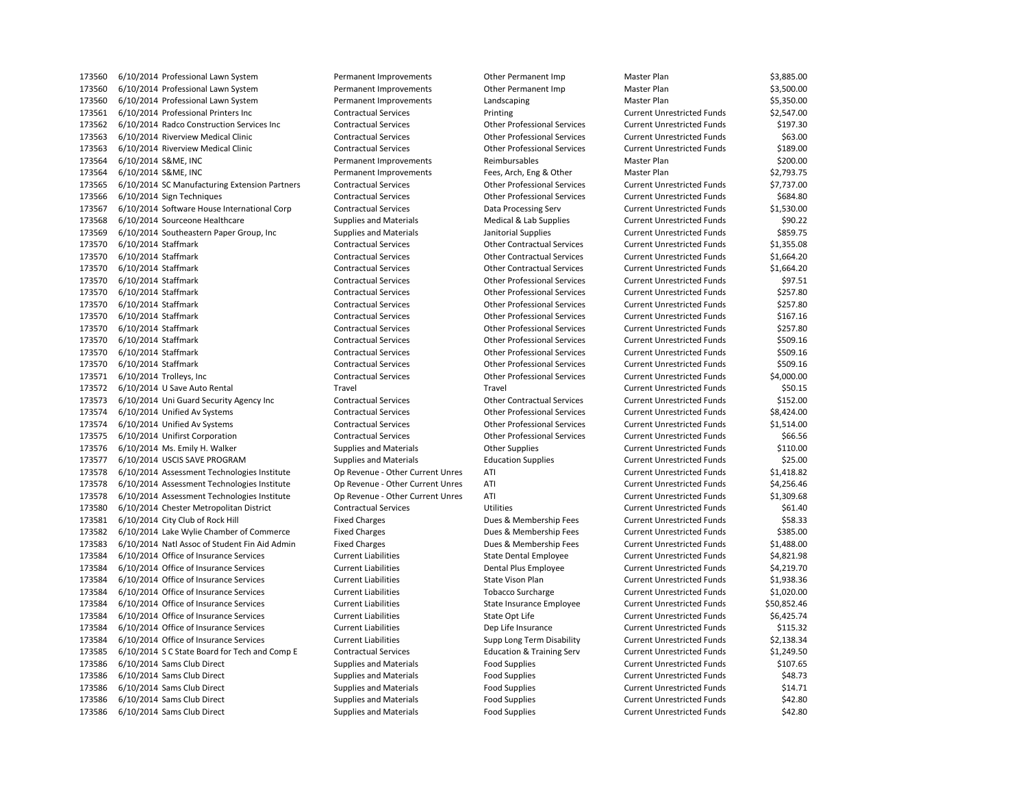6/10/2014 Professional Lawn System Permanent Improvements Other Permanent Imp Master Plan \$3,500.00 173560 6/10/2014 Professional Lawn System **Permanent Improvements** Landscaping Master Plan Master Plan \$5,350.00 6/10/2014 Professional Printers Inc Contractual Services Printing Current Unrestricted Funds \$2,547.00 6/10/2014 Radco Construction Services Inc Contractual Services Other Professional Services Current Unrestricted Funds \$197.30 6/10/2014 Riverview Medical Clinic Contractual Services Other Professional Services Current Unrestricted Funds \$63.00 6/10/2014 Riverview Medical Clinic Contractual Services Other Professional Services Current Unrestricted Funds \$189.00 6/10/2014 S&ME, INC Permanent Improvements Reimbursables Master Plan \$200.00 6/10/2014 S&ME, INC Permanent Improvements Fees, Arch, Eng & Other Master Plan \$2,793.75 6/10/2014 SC Manufacturing Extension Partners Contractual Services Other Professional Services Current Unrestricted Funds \$7,737.00 6/10/2014 Sign Techniques Contractual Services Other Professional Services Current Unrestricted Funds \$684.80 6/10/2014 Software House International Corp Contractual Services Data Processing Serv Current Unrestricted Funds \$1,530.00 173568 6/10/2014 Sourceone Healthcare Supplies and Materials Medical & Lab Supplies Current Unrestricted Funds \$90.22 173569 6/10/2014 Southeastern Paper Group, Inc Supplies and Materials Janitorial Supplies Current Unrestricted Funds \$859.75 6/10/2014 Staffmark Contractual Services Other Contractual Services Current Unrestricted Funds \$1,355.08 6/10/2014 Staffmark Contractual Services Other Contractual Services Current Unrestricted Funds \$1,664.20 6/10/2014 Staffmark Contractual Services Other Contractual Services Current Unrestricted Funds \$1,664.20 6/10/2014 Staffmark Contractual Services Other Professional Services Current Unrestricted Funds \$97.51 6/10/2014 Staffmark Contractual Services Other Professional Services Current Unrestricted Funds \$257.80 6/10/2014 Staffmark Contractual Services Other Professional Services Current Unrestricted Funds \$257.80 6/10/2014 Staffmark Contractual Services Other Professional Services Current Unrestricted Funds \$167.16 6/10/2014 Staffmark Contractual Services Other Professional Services Current Unrestricted Funds \$257.80 6/10/2014 Staffmark Contractual Services Other Professional Services Current Unrestricted Funds \$509.16 6/10/2014 Staffmark Contractual Services Other Professional Services Current Unrestricted Funds \$509.16 6/10/2014 Staffmark Contractual Services Other Professional Services Current Unrestricted Funds \$509.16 6/10/2014 Trolleys, Inc Contractual Services Other Professional Services Current Unrestricted Funds \$4,000.00 6/10/2014 U Save Auto Rental Travel Travel Current Unrestricted Funds \$50.15 6/10/2014 Uni Guard Security Agency Inc Contractual Services Other Contractual Services Current Unrestricted Funds \$152.00 6/10/2014 Unified Av Systems Contractual Services Other Professional Services Current Unrestricted Funds \$8,424.00 6/10/2014 Unified Av Systems Contractual Services Other Professional Services Current Unrestricted Funds \$1,514.00 6/10/2014 Unifirst Corporation Contractual Services Other Professional Services Current Unrestricted Funds \$66.56 6/10/2014 Ms. Emily H. Walker Supplies and Materials Other Supplies Current Unrestricted Funds \$110.00 6/10/2014 USCIS SAVE PROGRAM Supplies and Materials Education Supplies Current Unrestricted Funds \$25.00 6/10/2014 Assessment Technologies Institute Op Revenue - Other Current Unres ATI Current Unrestricted Funds \$1,418.82 6/10/2014 Assessment Technologies Institute Op Revenue - Other Current Unres ATI Current Unrestricted Funds \$4,256.46 6/10/2014 Assessment Technologies Institute Op Revenue - Other Current Unres ATI Current Unrestricted Funds \$1,309.68 6/10/2014 Chester Metropolitan District Contractual Services Utilities Current Unrestricted Funds \$61.40 6/10/2014 City Club of Rock Hill Fixed Charges Dues & Membership Fees Current Unrestricted Funds \$58.33 6/10/2014 Lake Wylie Chamber of Commerce Fixed Charges Dues & Membership Fees Current Unrestricted Funds \$385.00 6/10/2014 Natl Assoc of Student Fin Aid Admin Fixed Charges Dues & Membership Fees Current Unrestricted Funds \$1,488.00 6/10/2014 Office of Insurance Services Current Liabilities State Dental Employee Current Unrestricted Funds \$4,821.98 6/10/2014 Office of Insurance Services Current Liabilities Dental Plus Employee Current Unrestricted Funds \$4,219.70 6/10/2014 Office of Insurance Services Current Liabilities State Vison Plan Current Unrestricted Funds \$1,938.36 6/10/2014 Office of Insurance Services Current Liabilities Tobacco Surcharge Current Unrestricted Funds \$1,020.00 6/10/2014 Office of Insurance Services Current Liabilities State Insurance Employee Current Unrestricted Funds \$50,852.46 173584 6/10/2014 Office of Insurance Services Current Liabilities Current Liabilities S6,425.74 6/10/2014 Office of Insurance Services Current Liabilities Dep Life Insurance Current Unrestricted Funds \$115.32 6/10/2014 Office of Insurance Services Current Liabilities Supp Long Term Disability Current Unrestricted Funds \$2,138.34 6/10/2014 S C State Board for Tech and Comp E Contractual Services Education & Training Serv Current Unrestricted Funds \$1,249.50 173586 6/10/2014 Sams Club Direct Supplies and Materials Food Supplies Food Supplies Current Unrestricted Funds \$107.65 6/10/2014 Sams Club Direct Supplies and Materials Food Supplies Current Unrestricted Funds \$48.73 173586 6/10/2014 Sams Club Direct **Supplies And Materials** Food Supplies Food Supplies Current Unrestricted Funds \$14.71 173586 6/10/2014 Sams Club Direct Supplies and Materials Food Supplies Food Supplies Current Unrestricted Funds \$42.80 6/10/2014 Sams Club Direct Supplies and Materials Food Supplies Current Unrestricted Funds \$42.80

6/10/2014 Professional Lawn System Permanent Improvements Other Permanent Imp Master Plan \$3,885.00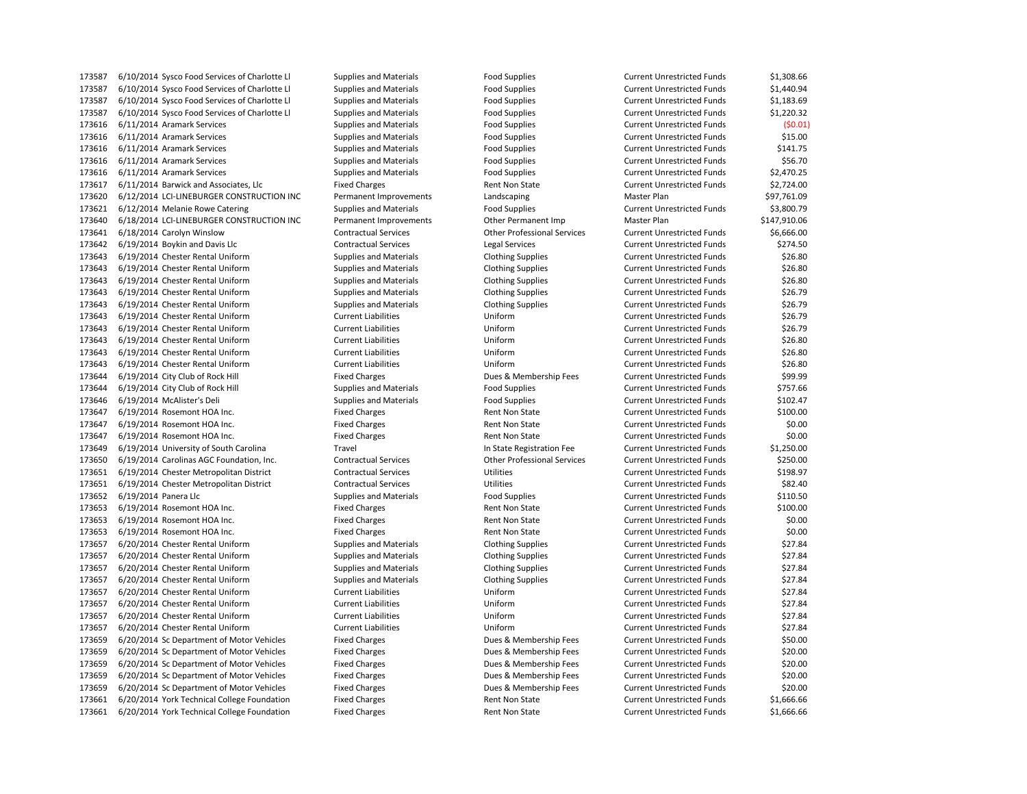6/10/2014 Sysco Food Services of Charlotte Ll Supplies and Materials Food Supplies Current Unrestricted Funds \$1,440.94 6/10/2014 Sysco Food Services of Charlotte Ll Supplies and Materials Food Supplies Current Unrestricted Funds \$1,183.69 6/10/2014 Sysco Food Services of Charlotte Ll Supplies and Materials Food Supplies Current Unrestricted Funds \$1,220.32 6/11/2014 Aramark Services Supplies and Materials Food Supplies Current Unrestricted Funds (\$0.01) 173616 6/11/2014 Aramark Services exception Supplies and Materials Food Supplies Current Unrestricted Funds \$15.00 173616 6/11/2014 Aramark Services exclude Supplies and Materials Food Supplies Food Supplies Current Unrestricted Funds \$141.75 173616 6/11/2014 Aramark Services exception Supplies and Materials Food Supplies Current Unrestricted Funds \$56.70 173616 6/11/2014 Aramark Services Supplies and Materials Food Supplies Food Supplies Current Unrestricted Funds \$2,470.25 6/11/2014 Barwick and Associates, Llc Fixed Charges Rent Non State Current Unrestricted Funds \$2,724.00 173620 6/12/2014 LCI-LINEBURGER CONSTRUCTION INC Permanent Improvements Landscaping Master Plan Master Plan \$97,761.09 173621 6/12/2014 Melanie Rowe Catering Supplies and Materials Food Supplies Food Supplies Current Unrestricted Funds \$3,800.79 6/18/2014 LCI-LINEBURGER CONSTRUCTION INC Permanent Improvements Other Permanent Imp Master Plan \$147,910.06 6/18/2014 Carolyn Winslow Contractual Services Other Professional Services Current Unrestricted Funds \$6,666.00 173642 6/19/2014 Boykin and Davis Llc Contractual Services Legal Services Legal Services Current Unrestricted Funds \$274.50 6/19/2014 Chester Rental Uniform Supplies and Materials Clothing Supplies Current Unrestricted Funds \$26.80 6/19/2014 Chester Rental Uniform Supplies and Materials Clothing Supplies Current Unrestricted Funds \$26.80 173643 6/19/2014 Chester Rental Uniform Supplies and Materials Clothing Supplies Current Unrestricted Funds \$26.80 6/19/2014 Chester Rental Uniform Supplies and Materials Clothing Supplies Current Unrestricted Funds \$26.79 6/19/2014 Chester Rental Uniform Supplies and Materials Clothing Supplies Current Unrestricted Funds \$26.79 6/19/2014 Chester Rental Uniform Current Liabilities Uniform Current Unrestricted Funds \$26.79 6/19/2014 Chester Rental Uniform Current Liabilities Uniform Current Unrestricted Funds \$26.79 6/19/2014 Chester Rental Uniform Current Liabilities Uniform Current Unrestricted Funds \$26.80 6/19/2014 Chester Rental Uniform Current Liabilities Uniform Current Unrestricted Funds \$26.80 6/19/2014 Chester Rental Uniform Current Liabilities Uniform Current Unrestricted Funds \$26.80 173644 6/19/2014 City Club of Rock Hill Fixed Charges Dues & Membership Fees Current Unrestricted Funds \$99.99 6/19/2014 City Club of Rock Hill Supplies and Materials Food Supplies Current Unrestricted Funds \$757.66 173646 6/19/2014 McAlister's Deli **Supplies and Materials** Food Supplies Food Supplies Current Unrestricted Funds \$102.47 6/19/2014 Rosemont HOA Inc. Fixed Charges Rent Non State Current Unrestricted Funds \$100.00 6/19/2014 Rosemont HOA Inc. Fixed Charges Rent Non State Current Unrestricted Funds \$0.00 6/19/2014 Rosemont HOA Inc. Fixed Charges Rent Non State Current Unrestricted Funds \$0.00 6/19/2014 University of South Carolina Travel In State Registration Fee Current Unrestricted Funds \$1,250.00 6/19/2014 Carolinas AGC Foundation, Inc. Contractual Services Other Professional Services Current Unrestricted Funds \$250.00 6/19/2014 Chester Metropolitan District Contractual Services Utilities Current Unrestricted Funds \$198.97 6/19/2014 Chester Metropolitan District Contractual Services Utilities Current Unrestricted Funds \$82.40 173652 6/19/2014 Panera Llc **Supplies and Materials** Food Supplies Current Unrestricted Funds \$110.50 173653 6/19/2014 Rosemont HOA Inc. The Fixed Charges Rent Non State Current Unrestricted Funds \$100.00 173653 6/19/2014 Rosemont HOA Inc. **Fixed Charges** Fixed Charges Rent Non State Current Unrestricted Funds \$0.00 6/19/2014 Rosemont HOA Inc. Fixed Charges Rent Non State Current Unrestricted Funds \$0.00 6/20/2014 Chester Rental Uniform Supplies and Materials Clothing Supplies Current Unrestricted Funds \$27.84 6/20/2014 Chester Rental Uniform Supplies and Materials Clothing Supplies Current Unrestricted Funds \$27.84 6/20/2014 Chester Rental Uniform Supplies and Materials Clothing Supplies Current Unrestricted Funds \$27.84 6/20/2014 Chester Rental Uniform Supplies and Materials Clothing Supplies Current Unrestricted Funds \$27.84 6/20/2014 Chester Rental Uniform Current Liabilities Uniform Current Unrestricted Funds \$27.84 6/20/2014 Chester Rental Uniform Current Liabilities Uniform Current Unrestricted Funds \$27.84 6/20/2014 Chester Rental Uniform Current Liabilities Uniform Current Unrestricted Funds \$27.84 6/20/2014 Chester Rental Uniform Current Liabilities Uniform Current Unrestricted Funds \$27.84 6/20/2014 Sc Department of Motor Vehicles Fixed Charges Dues & Membership Fees Current Unrestricted Funds \$50.00 6/20/2014 Sc Department of Motor Vehicles Fixed Charges Dues & Membership Fees Current Unrestricted Funds \$20.00 6/20/2014 Sc Department of Motor Vehicles Fixed Charges Dues & Membership Fees Current Unrestricted Funds \$20.00 6/20/2014 Sc Department of Motor Vehicles Fixed Charges Dues & Membership Fees Current Unrestricted Funds \$20.00 6/20/2014 Sc Department of Motor Vehicles Fixed Charges Dues & Membership Fees Current Unrestricted Funds \$20.00 173661 6/20/2014 York Technical College Foundation Fixed Charges Rent Non State Current Unrestricted Funds \$1,666.66 6/20/2014 York Technical College Foundation Fixed Charges Rent Non State Current Unrestricted Funds \$1,666.66

6/10/2014 Sysco Food Services of Charlotte Ll Supplies and Materials Food Supplies Current Unrestricted Funds \$1,308.66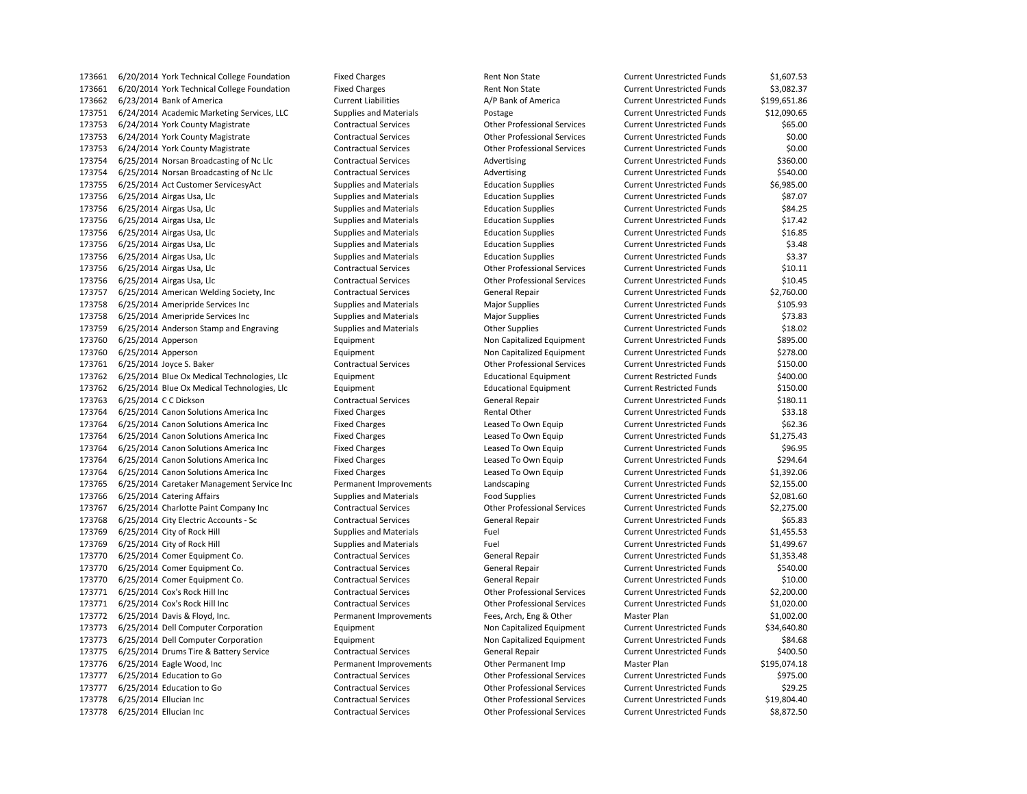6/20/2014 York Technical College Foundation Fixed Charges Rent Non State Current Unrestricted Funds \$3,082.37 6/23/2014 Bank of America Current Liabilities A/P Bank of America Current Unrestricted Funds \$199,651.86 6/24/2014 Academic Marketing Services, LLC Supplies and Materials Postage Current Unrestricted Funds \$12,090.65 6/24/2014 York County Magistrate Contractual Services Other Professional Services Current Unrestricted Funds \$65.00 6/24/2014 York County Magistrate Contractual Services Other Professional Services Current Unrestricted Funds \$0.00 6/24/2014 York County Magistrate Contractual Services Other Professional Services Current Unrestricted Funds \$0.00 6/25/2014 Norsan Broadcasting of Nc Llc Contractual Services Advertising Current Unrestricted Funds \$360.00 173754 6/25/2014 Norsan Broadcasting of Nc Llc Contractual Services Advertising Current Unrestricted Funds \$540.00 6/25/2014 Act Customer ServicesyAct Supplies and Materials Education Supplies Current Unrestricted Funds \$6,985.00 6/25/2014 Airgas Usa, Llc Supplies and Materials Education Supplies Current Unrestricted Funds \$87.07 6/25/2014 Airgas Usa, Llc Supplies and Materials Education Supplies Current Unrestricted Funds \$84.25 6/25/2014 Airgas Usa, Llc Supplies and Materials Education Supplies Current Unrestricted Funds \$17.42 173756 6/25/2014 Airgas Usa, Llc Supplies and Materials Education Supplies Current Unrestricted Funds \$16.85 6/25/2014 Airgas Usa, Llc Supplies and Materials Education Supplies Current Unrestricted Funds \$3.48 6/25/2014 Airgas Usa, Llc Supplies and Materials Education Supplies Current Unrestricted Funds \$3.37 6/25/2014 Airgas Usa, Llc Contractual Services Other Professional Services Current Unrestricted Funds \$10.11 6/25/2014 Airgas Usa, Llc Contractual Services Other Professional Services Current Unrestricted Funds \$10.45 6/25/2014 American Welding Society, Inc Contractual Services General Repair Current Unrestricted Funds \$2,760.00 173758 6/25/2014 Ameripride Services Inc Supplies and Materials Major Supplies Major Supplies Current Unrestricted Funds \$105.93 6/25/2014 Ameripride Services Inc Supplies and Materials Major Supplies Current Unrestricted Funds \$73.83 6/25/2014 Anderson Stamp and Engraving Supplies and Materials Other Supplies Current Unrestricted Funds \$18.02 6/25/2014 Apperson Equipment Non Capitalized Equipment Current Unrestricted Funds \$895.00 6/25/2014 Apperson Equipment Non Capitalized Equipment Current Unrestricted Funds \$278.00 6/25/2014 Joyce S. Baker Contractual Services Other Professional Services Current Unrestricted Funds \$150.00 6/25/2014 Blue Ox Medical Technologies, Llc Equipment Educational Equipment Current Restricted Funds \$400.00 6/25/2014 Blue Ox Medical Technologies, Llc Equipment Educational Equipment Current Restricted Funds \$150.00 6/25/2014 C C Dickson Contractual Services General Repair Current Unrestricted Funds \$180.11 173764 6/25/2014 Canon Solutions America Inc Fixed Charges Fixed Charges Rental Other Current Unrestricted Funds \$33.18 6/25/2014 Canon Solutions America Inc Fixed Charges Leased To Own Equip Current Unrestricted Funds \$62.36 6/25/2014 Canon Solutions America Inc Fixed Charges Leased To Own Equip Current Unrestricted Funds \$1,275.43 173764 6/25/2014 Canon Solutions America Inc Fixed Charges Leased To Own Equip Current Unrestricted Funds \$96.95 6/25/2014 Canon Solutions America Inc Fixed Charges Leased To Own Equip Current Unrestricted Funds \$294.64 6/25/2014 Canon Solutions America Inc Fixed Charges Leased To Own Equip Current Unrestricted Funds \$1,392.06 6/25/2014 Caretaker Management Service Inc Permanent Improvements Landscaping Current Unrestricted Funds \$2,155.00 173766 6/25/2014 Catering Affairs external supplies and Materials Food Supplies Food Supplies Current Unrestricted Funds \$2,081.60 6/25/2014 Charlotte Paint Company Inc Contractual Services Other Professional Services Current Unrestricted Funds \$2,275.00 173768 6/25/2014 City Electric Accounts - Sc Contractual Services General Repair Current Unrestricted Funds \$65.83 173769 6/25/2014 City of Rock Hill Supplies and Materials Fuel Fuel Current Unrestricted Funds \$1,455.53 173769 6/25/2014 City of Rock Hill Supplies and Materials Fuel Fuel Current Unrestricted Funds \$1,499.67 6/25/2014 Comer Equipment Co. Contractual Services General Repair Current Unrestricted Funds \$1,353.48 6/25/2014 Comer Equipment Co. Contractual Services General Repair Current Unrestricted Funds \$540.00 6/25/2014 Comer Equipment Co. Contractual Services General Repair Current Unrestricted Funds \$10.00 6/25/2014 Cox's Rock Hill Inc Contractual Services Other Professional Services Current Unrestricted Funds \$2,200.00 6/25/2014 Cox's Rock Hill Inc Contractual Services Other Professional Services Current Unrestricted Funds \$1,020.00 6/25/2014 Davis & Floyd, Inc. Permanent Improvements Fees, Arch, Eng & Other Master Plan \$1,002.00 6/25/2014 Dell Computer Corporation Equipment Non Capitalized Equipment Current Unrestricted Funds \$34,640.80 6/25/2014 Dell Computer Corporation Equipment Non Capitalized Equipment Current Unrestricted Funds \$84.68 173775 6/25/2014 Drums Tire & Battery Service Contractual Services General Repair Current Unrestricted Funds \$400.50 6/25/2014 Eagle Wood, Inc Permanent Improvements Other Permanent Imp Master Plan \$195,074.18 6/25/2014 Education to Go Contractual Services Other Professional Services Current Unrestricted Funds \$975.00 6/25/2014 Education to Go Contractual Services Other Professional Services Current Unrestricted Funds \$29.25 6/25/2014 Ellucian Inc Contractual Services Other Professional Services Current Unrestricted Funds \$19,804.40 6/25/2014 Ellucian Inc Contractual Services Other Professional Services Current Unrestricted Funds \$8,872.50

6/20/2014 York Technical College Foundation Fixed Charges Rent Non State Current Unrestricted Funds \$1,607.53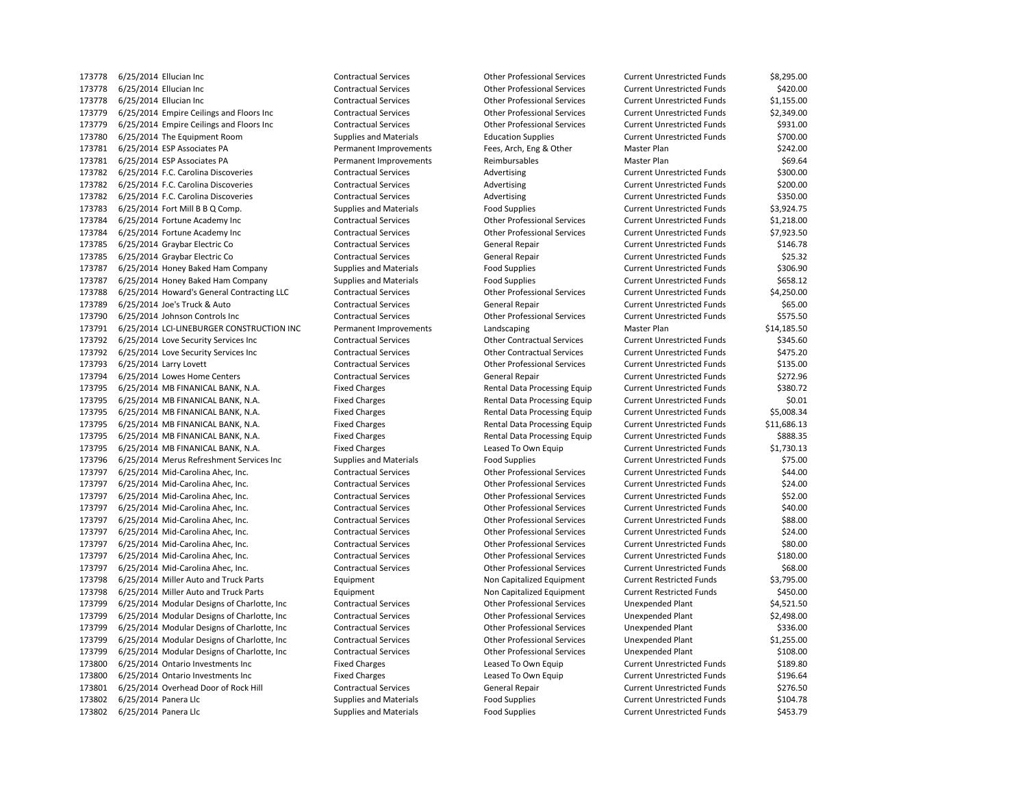6/25/2014 Ellucian Inc Contractual Services Other Professional Services Current Unrestricted Funds \$420.00 6/25/2014 Ellucian Inc Contractual Services Other Professional Services Current Unrestricted Funds \$1,155.00 6/25/2014 Empire Ceilings and Floors Inc Contractual Services Other Professional Services Current Unrestricted Funds \$2,349.00 6/25/2014 Empire Ceilings and Floors Inc Contractual Services Other Professional Services Current Unrestricted Funds \$931.00 6/25/2014 The Equipment Room Supplies and Materials Education Supplies Current Unrestricted Funds \$700.00 6/25/2014 ESP Associates PA Permanent Improvements Fees, Arch, Eng & Other Master Plan \$242.00 173781 6/25/2014 ESP Associates PA **Permanent Improvements** Reimbursables Master Plan Master Plan \$69.64 173782 6/25/2014 F.C. Carolina Discoveries Contractual Services Advertising Current Unrestricted Funds \$300.00 173782 6/25/2014 F.C. Carolina Discoveries Contractual Services Advertising Advertising Current Unrestricted Funds \$200.00 173782 6/25/2014 F.C. Carolina Discoveries Contractual Services Advertising Current Unrestricted Funds \$350.00 6/25/2014 Fort Mill B B Q Comp. Supplies and Materials Food Supplies Current Unrestricted Funds \$3,924.75 6/25/2014 Fortune Academy Inc Contractual Services Other Professional Services Current Unrestricted Funds \$1,218.00 6/25/2014 Fortune Academy Inc Contractual Services Other Professional Services Current Unrestricted Funds \$7,923.50 173785 6/25/2014 Graybar Electric Co Contractual Services General Repair Current Unrestricted Funds \$146.78 6/25/2014 Graybar Electric Co Contractual Services General Repair Current Unrestricted Funds \$25.32 173787 6/25/2014 Honey Baked Ham Company Supplies and Materials Food Supplies Current Unrestricted Funds \$306.90 6/25/2014 Honey Baked Ham Company Supplies and Materials Food Supplies Current Unrestricted Funds \$658.12 6/25/2014 Howard's General Contracting LLC Contractual Services Other Professional Services Current Unrestricted Funds \$4,250.00 6/25/2014 Joe's Truck & Auto Contractual Services General Repair Current Unrestricted Funds \$65.00 6/25/2014 Johnson Controls Inc Contractual Services Other Professional Services Current Unrestricted Funds \$575.50 173791 6/25/2014 LCI-LINEBURGER CONSTRUCTION INC Permanent Improvements Landscaping Master Plan Master Plan \$14,185.50 6/25/2014 Love Security Services Inc Contractual Services Other Contractual Services Current Unrestricted Funds \$345.60 6/25/2014 Love Security Services Inc Contractual Services Other Contractual Services Current Unrestricted Funds \$475.20 6/25/2014 Larry Lovett Contractual Services Other Professional Services Current Unrestricted Funds \$135.00 173794 6/25/2014 Lowes Home Centers Contractual Services General Repair Current Unrestricted Funds \$272.96 6/25/2014 MB FINANICAL BANK, N.A. Fixed Charges Rental Data Processing Equip Current Unrestricted Funds \$380.72 6/25/2014 MB FINANICAL BANK, N.A. Fixed Charges Rental Data Processing Equip Current Unrestricted Funds \$0.01 6/25/2014 MB FINANICAL BANK, N.A. Fixed Charges Rental Data Processing Equip Current Unrestricted Funds \$5,008.34 6/25/2014 MB FINANICAL BANK, N.A. Fixed Charges Rental Data Processing Equip Current Unrestricted Funds \$11,686.13 6/25/2014 MB FINANICAL BANK, N.A. Fixed Charges Rental Data Processing Equip Current Unrestricted Funds \$888.35 6/25/2014 MB FINANICAL BANK, N.A. Fixed Charges Leased To Own Equip Current Unrestricted Funds \$1,730.13 173796 6/25/2014 Merus Refreshment Services Inc Supplies and Materials Food Supplies Current Unrestricted Funds \$75.00 6/25/2014 Mid-Carolina Ahec, Inc. Contractual Services Other Professional Services Current Unrestricted Funds \$44.00 6/25/2014 Mid-Carolina Ahec, Inc. Contractual Services Other Professional Services Current Unrestricted Funds \$24.00 6/25/2014 Mid-Carolina Ahec, Inc. Contractual Services Other Professional Services Current Unrestricted Funds \$52.00 6/25/2014 Mid-Carolina Ahec, Inc. Contractual Services Other Professional Services Current Unrestricted Funds \$40.00 6/25/2014 Mid-Carolina Ahec, Inc. Contractual Services Other Professional Services Current Unrestricted Funds \$88.00 6/25/2014 Mid-Carolina Ahec, Inc. Contractual Services Other Professional Services Current Unrestricted Funds \$24.00 6/25/2014 Mid-Carolina Ahec, Inc. Contractual Services Other Professional Services Current Unrestricted Funds \$80.00 6/25/2014 Mid-Carolina Ahec, Inc. Contractual Services Other Professional Services Current Unrestricted Funds \$180.00 6/25/2014 Mid-Carolina Ahec, Inc. Contractual Services Other Professional Services Current Unrestricted Funds \$68.00 6/25/2014 Miller Auto and Truck Parts Equipment Non Capitalized Equipment Current Restricted Funds \$3,795.00 6/25/2014 Miller Auto and Truck Parts Equipment Non Capitalized Equipment Current Restricted Funds \$450.00 6/25/2014 Modular Designs of Charlotte, Inc Contractual Services Other Professional Services Unexpended Plant \$4,521.50 6/25/2014 Modular Designs of Charlotte, Inc Contractual Services Other Professional Services Unexpended Plant \$2,498.00 6/25/2014 Modular Designs of Charlotte, Inc Contractual Services Other Professional Services Unexpended Plant \$336.00 6/25/2014 Modular Designs of Charlotte, Inc Contractual Services Other Professional Services Unexpended Plant \$1,255.00 6/25/2014 Modular Designs of Charlotte, Inc Contractual Services Other Professional Services Unexpended Plant \$108.00 6/25/2014 Ontario Investments Inc Fixed Charges Leased To Own Equip Current Unrestricted Funds \$189.80 173800 6/25/2014 Ontario Investments Inc Fixed Charges Fixed Charges Leased To Own Equip Current Unrestricted Funds \$196.64 6/25/2014 Overhead Door of Rock Hill Contractual Services General Repair Current Unrestricted Funds \$276.50 173802 6/25/2014 Panera Llc Supplies and Materials Food Supplies Food Supplies Current Unrestricted Funds \$104.78 173802 6/25/2014 Panera Llc Supplies and Materials Food Supplies Current Unrestricted Funds \$453.79

6/25/2014 Ellucian Inc Contractual Services Other Professional Services Current Unrestricted Funds \$8,295.00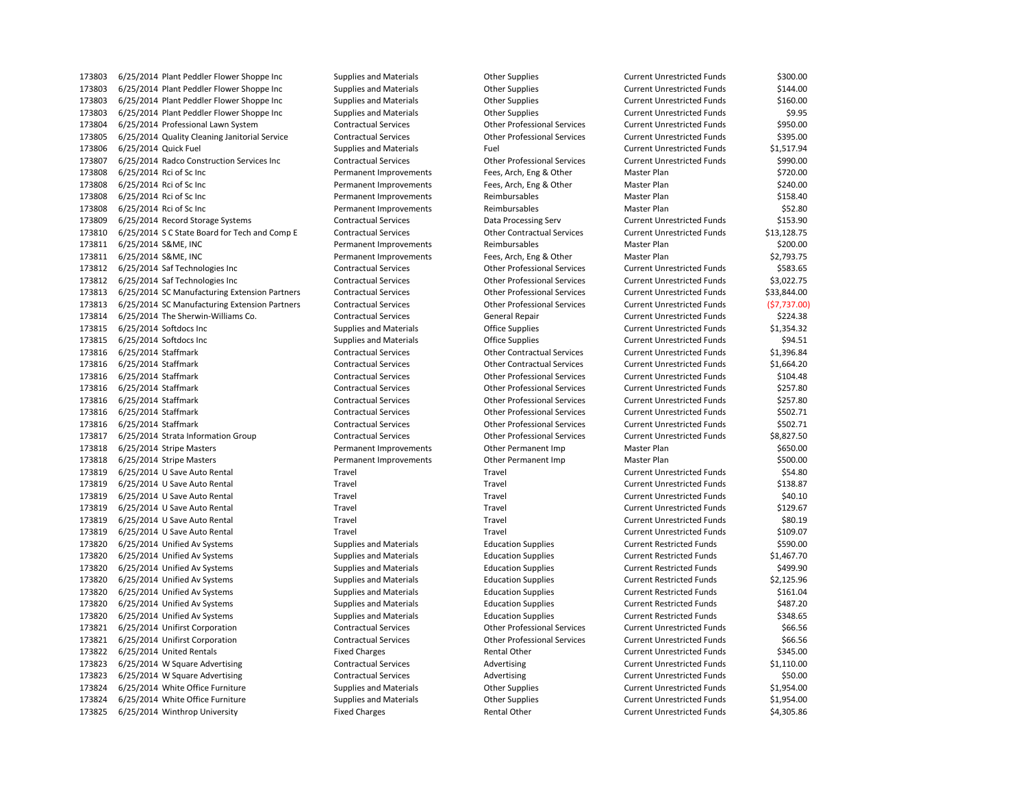6/25/2014 Plant Peddler Flower Shoppe Inc Supplies and Materials Other Supplies Current Unrestricted Funds \$144.00 6/25/2014 Plant Peddler Flower Shoppe Inc Supplies and Materials Other Supplies Current Unrestricted Funds \$160.00 6/25/2014 Plant Peddler Flower Shoppe Inc Supplies and Materials Other Supplies Current Unrestricted Funds \$9.95 6/25/2014 Professional Lawn System Contractual Services Other Professional Services Current Unrestricted Funds \$950.00 6/25/2014 Quality Cleaning Janitorial Service Contractual Services Other Professional Services Current Unrestricted Funds \$395.00 6/25/2014 Quick Fuel Supplies and Materials Fuel Current Unrestricted Funds \$1,517.94 6/25/2014 Radco Construction Services Inc Contractual Services Other Professional Services Current Unrestricted Funds \$990.00 6/25/2014 Rci of Sc Inc Permanent Improvements Fees, Arch, Eng & Other Master Plan \$720.00 6/25/2014 Rci of Sc Inc Permanent Improvements Fees, Arch, Eng & Other Master Plan \$240.00 173808 6/25/2014 Rci of Sc Inc Case Supermanent Improvements Reimbursables Master Plan Master Plan \$158.40 173808 6/25/2014 Rci of Sc Inc Case Control of St 2.80 Permanent Improvements Reimbursables Master Plan Master Plan \$52.80 6/25/2014 Record Storage Systems Contractual Services Data Processing Serv Current Unrestricted Funds \$153.90 6/25/2014 S C State Board for Tech and Comp E Contractual Services Other Contractual Services Current Unrestricted Funds \$13,128.75 6/25/2014 S&ME, INC Permanent Improvements Reimbursables Master Plan \$200.00 6/25/2014 S&ME, INC Permanent Improvements Fees, Arch, Eng & Other Master Plan \$2,793.75 6/25/2014 Saf Technologies Inc Contractual Services Other Professional Services Current Unrestricted Funds \$583.65 6/25/2014 Saf Technologies Inc Contractual Services Other Professional Services Current Unrestricted Funds \$3,022.75 6/25/2014 SC Manufacturing Extension Partners Contractual Services Other Professional Services Current Unrestricted Funds \$33,844.00 6/25/2014 SC Manufacturing Extension Partners Contractual Services Other Professional Services Current Unrestricted Funds (\$7,737.00) 6/25/2014 The Sherwin-Williams Co. Contractual Services General Repair Current Unrestricted Funds \$224.38 173815 6/25/2014 Softdocs Inc Current Unrestricted Funds (1,354.32 Supplies and Materials office Supplies Current Unrestricted Funds \$1,354.32<br>173815 6/25/2014 Softdocs Inc Current Unrestricted Funds (1,354.51 Supplies and 173815 6/25/2014 Softdocs Inc **Supplies and Materials** Office Supplies Current Unrestricted Funds \$94.51 6/25/2014 Staffmark Contractual Services Other Contractual Services Current Unrestricted Funds \$1,396.84 6/25/2014 Staffmark Contractual Services Other Contractual Services Current Unrestricted Funds \$1,664.20 6/25/2014 Staffmark Contractual Services Other Professional Services Current Unrestricted Funds \$104.48 6/25/2014 Staffmark Contractual Services Other Professional Services Current Unrestricted Funds \$257.80 6/25/2014 Staffmark Contractual Services Other Professional Services Current Unrestricted Funds \$257.80 6/25/2014 Staffmark Contractual Services Other Professional Services Current Unrestricted Funds \$502.71 6/25/2014 Staffmark Contractual Services Other Professional Services Current Unrestricted Funds \$502.71 6/25/2014 Strata Information Group Contractual Services Other Professional Services Current Unrestricted Funds \$8,827.50 6/25/2014 Stripe Masters Permanent Improvements Other Permanent Imp Master Plan \$650.00 6/25/2014 Stripe Masters Permanent Improvements Other Permanent Imp Master Plan \$500.00 6/25/2014 U Save Auto Rental Travel Travel Current Unrestricted Funds \$54.80 6/25/2014 U Save Auto Rental Travel Travel Current Unrestricted Funds \$138.87 6/25/2014 U Save Auto Rental Travel Travel Current Unrestricted Funds \$40.10 6/25/2014 U Save Auto Rental Travel Travel Current Unrestricted Funds \$129.67 6/25/2014 U Save Auto Rental Travel Travel Current Unrestricted Funds \$80.19 6/25/2014 U Save Auto Rental Travel Travel Current Unrestricted Funds \$109.07 6/25/2014 Unified Av Systems Supplies and Materials Education Supplies Current Restricted Funds \$590.00 6/25/2014 Unified Av Systems Supplies and Materials Education Supplies Current Restricted Funds \$1,467.70 6/25/2014 Unified Av Systems Supplies and Materials Education Supplies Current Restricted Funds \$499.90 6/25/2014 Unified Av Systems Supplies and Materials Education Supplies Current Restricted Funds \$2,125.96 6/25/2014 Unified Av Systems Supplies and Materials Education Supplies Current Restricted Funds \$161.04 6/25/2014 Unified Av Systems Supplies and Materials Education Supplies Current Restricted Funds \$487.20 6/25/2014 Unified Av Systems Supplies and Materials Education Supplies Current Restricted Funds \$348.65 6/25/2014 Unifirst Corporation Contractual Services Other Professional Services Current Unrestricted Funds \$66.56 6/25/2014 Unifirst Corporation Contractual Services Other Professional Services Current Unrestricted Funds \$66.56 6/25/2014 United Rentals Fixed Charges Rental Other Current Unrestricted Funds \$345.00 6/25/2014 W Square Advertising Contractual Services Advertising Current Unrestricted Funds \$1,110.00 173823 6/25/2014 W Square Advertising Contractual Services Advertising Current Unrestricted Funds \$50.00 6/25/2014 White Office Furniture Supplies and Materials Other Supplies Current Unrestricted Funds \$1,954.00 173824 6/25/2014 White Office Furniture Supplies and Materials Current Unrestricted Funds \$1,954.00 173825 6/25/2014 Winthrop University **Fixed Charges** Fixed Charges Rental Other Current Unrestricted Funds \$4,305.86

6/25/2014 Plant Peddler Flower Shoppe Inc Supplies and Materials Other Supplies Current Unrestricted Funds \$300.00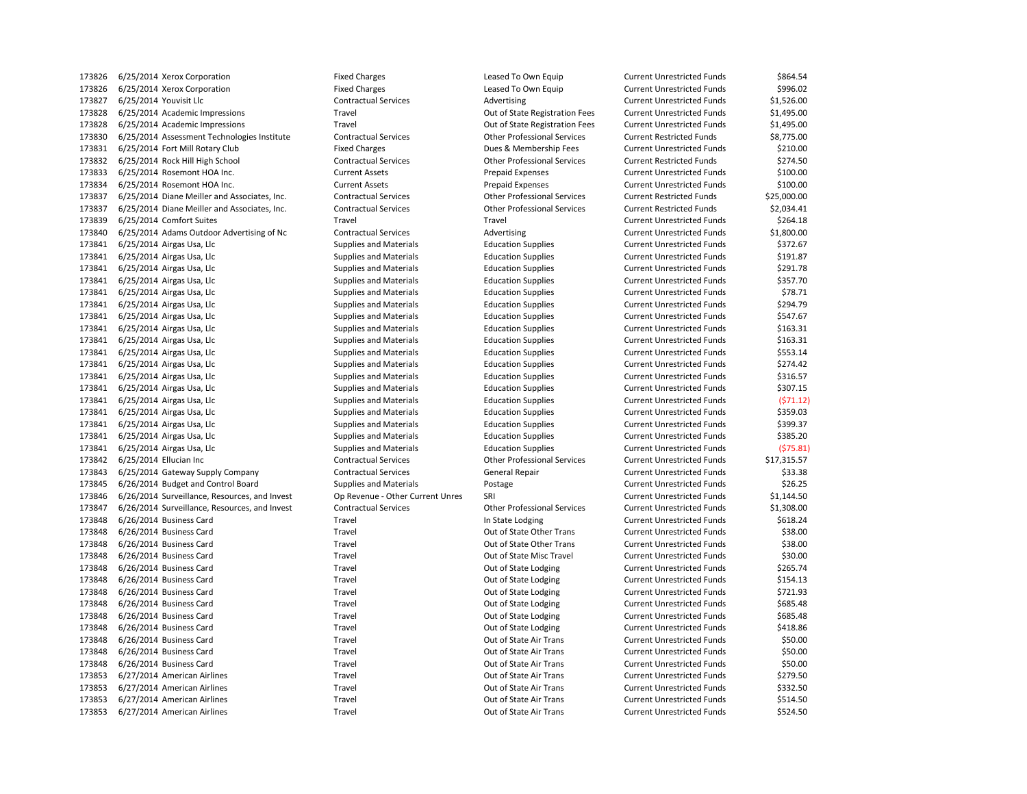6/25/2014 Xerox Corporation Fixed Charges Leased To Own Equip Current Unrestricted Funds \$996.02 173827 6/25/2014 Youvisit Llc Contractual Services Contractual Services Advertising Current Unrestricted Funds \$1,526.00 6/25/2014 Academic Impressions Travel Out of State Registration Fees Current Unrestricted Funds \$1,495.00 6/25/2014 Academic Impressions Travel Out of State Registration Fees Current Unrestricted Funds \$1,495.00 6/25/2014 Assessment Technologies Institute Contractual Services Other Professional Services Current Restricted Funds \$8,775.00 6/25/2014 Fort Mill Rotary Club Fixed Charges Dues & Membership Fees Current Unrestricted Funds \$210.00 6/25/2014 Rock Hill High School Contractual Services Other Professional Services Current Restricted Funds \$274.50 6/25/2014 Rosemont HOA Inc. Current Assets Prepaid Expenses Current Unrestricted Funds \$100.00 6/25/2014 Rosemont HOA Inc. Current Assets Prepaid Expenses Current Unrestricted Funds \$100.00 6/25/2014 Diane Meiller and Associates, Inc. Contractual Services Other Professional Services Current Restricted Funds \$25,000.00 6/25/2014 Diane Meiller and Associates, Inc. Contractual Services Other Professional Services Current Restricted Funds \$2,034.41 6/25/2014 Comfort Suites Travel Travel Current Unrestricted Funds \$264.18 6/25/2014 Adams Outdoor Advertising of Nc Contractual Services Advertising Current Unrestricted Funds \$1,800.00 6/25/2014 Airgas Usa, Llc Supplies and Materials Education Supplies Current Unrestricted Funds \$372.67 6/25/2014 Airgas Usa, Llc Supplies and Materials Education Supplies Current Unrestricted Funds \$191.87 6/25/2014 Airgas Usa, Llc Supplies and Materials Education Supplies Current Unrestricted Funds \$291.78 6/25/2014 Airgas Usa, Llc Supplies and Materials Education Supplies Current Unrestricted Funds \$357.70 173841 6/25/2014 Airgas Usa, Llc Supplies and Materials Education Supplies Current Unrestricted Funds \$78.71 6/25/2014 Airgas Usa, Llc Supplies and Materials Education Supplies Current Unrestricted Funds \$294.79 6/25/2014 Airgas Usa, Llc Supplies and Materials Education Supplies Current Unrestricted Funds \$547.67 6/25/2014 Airgas Usa, Llc Supplies and Materials Education Supplies Current Unrestricted Funds \$163.31 6/25/2014 Airgas Usa, Llc Supplies and Materials Education Supplies Current Unrestricted Funds \$163.31 6/25/2014 Airgas Usa, Llc Supplies and Materials Education Supplies Current Unrestricted Funds \$553.14 6/25/2014 Airgas Usa, Llc Supplies and Materials Education Supplies Current Unrestricted Funds \$274.42 6/25/2014 Airgas Usa, Llc Supplies and Materials Education Supplies Current Unrestricted Funds \$316.57 6/25/2014 Airgas Usa, Llc Supplies and Materials Education Supplies Current Unrestricted Funds \$307.15 6/25/2014 Airgas Usa, Llc Supplies and Materials Education Supplies Current Unrestricted Funds (\$71.12) 6/25/2014 Airgas Usa, Llc Supplies and Materials Education Supplies Current Unrestricted Funds \$359.03 6/25/2014 Airgas Usa, Llc Supplies and Materials Education Supplies Current Unrestricted Funds \$399.37 6/25/2014 Airgas Usa, Llc Supplies and Materials Education Supplies Current Unrestricted Funds \$385.20 6/25/2014 Airgas Usa, Llc Supplies and Materials Education Supplies Current Unrestricted Funds (\$75.81) 6/25/2014 Ellucian Inc Contractual Services Other Professional Services Current Unrestricted Funds \$17,315.57 6/25/2014 Gateway Supply Company Contractual Services General Repair Current Unrestricted Funds \$33.38 6/26/2014 Budget and Control Board Supplies and Materials Postage Current Unrestricted Funds \$26.25 6/26/2014 Surveillance, Resources, and Invest Op Revenue - Other Current Unres SRI Current Unrestricted Funds \$1,144.50 6/26/2014 Surveillance, Resources, and Invest Contractual Services Other Professional Services Current Unrestricted Funds \$1,308.00 173848 6/26/2014 Business Card Travel Travel Travel Current Unrestricted Funds \$618.24 6/26/2014 Business Card Travel Out of State Other Trans Current Unrestricted Funds \$38.00 6/26/2014 Business Card Travel Out of State Other Trans Current Unrestricted Funds \$38.00 6/26/2014 Business Card Travel Out of State Misc Travel Current Unrestricted Funds \$30.00 6/26/2014 Business Card Travel Out of State Lodging Current Unrestricted Funds \$265.74 6/26/2014 Business Card Travel Out of State Lodging Current Unrestricted Funds \$154.13 6/26/2014 Business Card Travel Out of State Lodging Current Unrestricted Funds \$721.93 6/26/2014 Business Card Travel Out of State Lodging Current Unrestricted Funds \$685.48 6/26/2014 Business Card Travel Out of State Lodging Current Unrestricted Funds \$685.48 173848 6/26/2014 Business Card Travel Travel Travel Current Unrestricted Funds \$418.86 6/26/2014 Business Card Travel Out of State Air Trans Current Unrestricted Funds \$50.00 6/26/2014 Business Card Travel Out of State Air Trans Current Unrestricted Funds \$50.00 6/26/2014 Business Card Travel Out of State Air Trans Current Unrestricted Funds \$50.00 173853 6/27/2014 American Airlines Current Unrestricted Funds (5279.50 Current Unrestricted Funds 5279.50 6/27/2014 American Airlines Travel Out of State Air Trans Current Unrestricted Funds \$332.50 6/27/2014 American Airlines Travel Out of State Air Trans Current Unrestricted Funds \$514.50 6/27/2014 American Airlines Travel Out of State Air Trans Current Unrestricted Funds \$524.50

6/25/2014 Xerox Corporation Fixed Charges Leased To Own Equip Current Unrestricted Funds \$864.54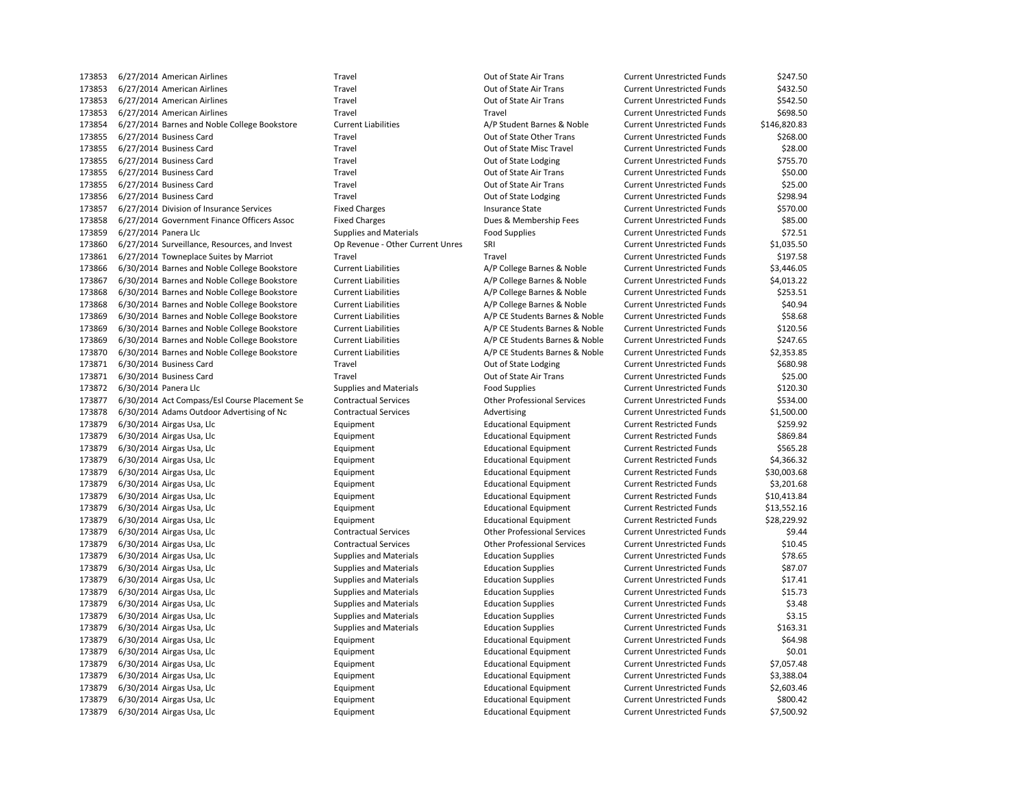| 173853 | 6/27/2014 American Airlines                   | Travel                               | Out of State Air Trans             | <b>Current Unrestricted Funds</b> | \$247.50     |
|--------|-----------------------------------------------|--------------------------------------|------------------------------------|-----------------------------------|--------------|
| 173853 | 6/27/2014 American Airlines                   | Travel                               | Out of State Air Trans             | <b>Current Unrestricted Funds</b> | \$432.50     |
| 173853 | 6/27/2014 American Airlines                   | Travel                               | Out of State Air Trans             | <b>Current Unrestricted Funds</b> | \$542.50     |
| 173853 | 6/27/2014 American Airlines                   | Travel                               | Travel                             | <b>Current Unrestricted Funds</b> | \$698.50     |
| 173854 | 6/27/2014 Barnes and Noble College Bookstore  | <b>Current Liabilities</b>           | A/P Student Barnes & Noble         | <b>Current Unrestricted Funds</b> | \$146,820.83 |
| 173855 | 6/27/2014 Business Card                       | Travel                               | Out of State Other Trans           | <b>Current Unrestricted Funds</b> | \$268.00     |
| 173855 | 6/27/2014 Business Card                       | Travel                               | Out of State Misc Travel           | <b>Current Unrestricted Funds</b> | \$28.00      |
| 173855 | 6/27/2014 Business Card                       | Travel                               | Out of State Lodging               | <b>Current Unrestricted Funds</b> | \$755.70     |
| 173855 | 6/27/2014 Business Card                       | Travel                               | Out of State Air Trans             | <b>Current Unrestricted Funds</b> | \$50.00      |
| 173855 | 6/27/2014 Business Card                       | Travel                               | Out of State Air Trans             | <b>Current Unrestricted Funds</b> | \$25.00      |
| 173856 | 6/27/2014 Business Card                       | Travel                               | Out of State Lodging               | <b>Current Unrestricted Funds</b> | \$298.94     |
| 173857 | 6/27/2014 Division of Insurance Services      | <b>Fixed Charges</b>                 | <b>Insurance State</b>             | <b>Current Unrestricted Funds</b> | \$570.00     |
| 173858 | 6/27/2014 Government Finance Officers Assoc   | <b>Fixed Charges</b>                 | Dues & Membership Fees             | <b>Current Unrestricted Funds</b> | \$85.00      |
| 173859 | 6/27/2014 Panera Llc                          | <b>Supplies and Materials</b>        | <b>Food Supplies</b>               | <b>Current Unrestricted Funds</b> | \$72.51      |
| 173860 | 6/27/2014 Surveillance, Resources, and Invest | Op Revenue - Other Current Unres     | SRI                                | <b>Current Unrestricted Funds</b> | \$1,035.50   |
| 173861 | 6/27/2014 Towneplace Suites by Marriot        | Travel                               | Travel                             | <b>Current Unrestricted Funds</b> | \$197.58     |
| 173866 | 6/30/2014 Barnes and Noble College Bookstore  | <b>Current Liabilities</b>           | A/P College Barnes & Noble         | <b>Current Unrestricted Funds</b> | \$3,446.05   |
| 173867 | 6/30/2014 Barnes and Noble College Bookstore  | <b>Current Liabilities</b>           | A/P College Barnes & Noble         | <b>Current Unrestricted Funds</b> | \$4,013.22   |
| 173868 | 6/30/2014 Barnes and Noble College Bookstore  | <b>Current Liabilities</b>           | A/P College Barnes & Noble         | <b>Current Unrestricted Funds</b> | \$253.51     |
| 173868 | 6/30/2014 Barnes and Noble College Bookstore  | <b>Current Liabilities</b>           | A/P College Barnes & Noble         | <b>Current Unrestricted Funds</b> | \$40.94      |
| 173869 | 6/30/2014 Barnes and Noble College Bookstore  | <b>Current Liabilities</b>           | A/P CE Students Barnes & Noble     | <b>Current Unrestricted Funds</b> | \$58.68      |
| 173869 | 6/30/2014 Barnes and Noble College Bookstore  | <b>Current Liabilities</b>           | A/P CE Students Barnes & Noble     | <b>Current Unrestricted Funds</b> | \$120.56     |
| 173869 | 6/30/2014 Barnes and Noble College Bookstore  | <b>Current Liabilities</b>           | A/P CE Students Barnes & Noble     |                                   | \$247.65     |
|        |                                               |                                      |                                    | <b>Current Unrestricted Funds</b> |              |
| 173870 | 6/30/2014 Barnes and Noble College Bookstore  | <b>Current Liabilities</b><br>Travel | A/P CE Students Barnes & Noble     | <b>Current Unrestricted Funds</b> | \$2,353.85   |
| 173871 | 6/30/2014 Business Card                       |                                      | Out of State Lodging               | <b>Current Unrestricted Funds</b> | \$680.98     |
| 173871 | 6/30/2014 Business Card                       | Travel                               | Out of State Air Trans             | <b>Current Unrestricted Funds</b> | \$25.00      |
| 173872 | 6/30/2014 Panera Llc                          | <b>Supplies and Materials</b>        | <b>Food Supplies</b>               | <b>Current Unrestricted Funds</b> | \$120.30     |
| 173877 | 6/30/2014 Act Compass/Esl Course Placement Se | <b>Contractual Services</b>          | <b>Other Professional Services</b> | <b>Current Unrestricted Funds</b> | \$534.00     |
| 173878 | 6/30/2014 Adams Outdoor Advertising of Nc     | <b>Contractual Services</b>          | Advertising                        | <b>Current Unrestricted Funds</b> | \$1,500.00   |
| 173879 | 6/30/2014 Airgas Usa, Llc                     | Equipment                            | <b>Educational Equipment</b>       | <b>Current Restricted Funds</b>   | \$259.92     |
| 173879 | 6/30/2014 Airgas Usa, Llc                     | Equipment                            | <b>Educational Equipment</b>       | <b>Current Restricted Funds</b>   | \$869.84     |
| 173879 | 6/30/2014 Airgas Usa, Llc                     | Equipment                            | <b>Educational Equipment</b>       | <b>Current Restricted Funds</b>   | \$565.28     |
| 173879 | 6/30/2014 Airgas Usa, Llc                     | Equipment                            | <b>Educational Equipment</b>       | <b>Current Restricted Funds</b>   | \$4,366.32   |
| 173879 | 6/30/2014 Airgas Usa, Llc                     | Equipment                            | <b>Educational Equipment</b>       | <b>Current Restricted Funds</b>   | \$30,003.68  |
| 173879 | 6/30/2014 Airgas Usa, Llc                     | Equipment                            | <b>Educational Equipment</b>       | <b>Current Restricted Funds</b>   | \$3,201.68   |
| 173879 | 6/30/2014 Airgas Usa, Llc                     | Equipment                            | <b>Educational Equipment</b>       | <b>Current Restricted Funds</b>   | \$10,413.84  |
| 173879 | 6/30/2014 Airgas Usa, Llc                     | Equipment                            | <b>Educational Equipment</b>       | <b>Current Restricted Funds</b>   | \$13,552.16  |
| 173879 | 6/30/2014 Airgas Usa, Llc                     | Equipment                            | <b>Educational Equipment</b>       | <b>Current Restricted Funds</b>   | \$28,229.92  |
| 173879 | 6/30/2014 Airgas Usa, Llc                     | <b>Contractual Services</b>          | <b>Other Professional Services</b> | <b>Current Unrestricted Funds</b> | \$9.44       |
| 173879 | 6/30/2014 Airgas Usa, Llc                     | <b>Contractual Services</b>          | <b>Other Professional Services</b> | <b>Current Unrestricted Funds</b> | \$10.45      |
| 173879 | 6/30/2014 Airgas Usa, Llc                     | <b>Supplies and Materials</b>        | <b>Education Supplies</b>          | <b>Current Unrestricted Funds</b> | \$78.65      |
| 173879 | 6/30/2014 Airgas Usa, Llc                     | <b>Supplies and Materials</b>        | <b>Education Supplies</b>          | <b>Current Unrestricted Funds</b> | \$87.07      |
| 173879 | 6/30/2014 Airgas Usa, Llc                     | <b>Supplies and Materials</b>        | <b>Education Supplies</b>          | <b>Current Unrestricted Funds</b> | \$17.41      |
| 173879 | 6/30/2014 Airgas Usa, Llc                     | <b>Supplies and Materials</b>        | <b>Education Supplies</b>          | <b>Current Unrestricted Funds</b> | \$15.73      |
| 173879 | 6/30/2014 Airgas Usa, Llc                     | <b>Supplies and Materials</b>        | <b>Education Supplies</b>          | <b>Current Unrestricted Funds</b> | \$3.48       |
| 173879 | 6/30/2014 Airgas Usa, Llc                     | <b>Supplies and Materials</b>        | <b>Education Supplies</b>          | <b>Current Unrestricted Funds</b> | \$3.15       |
| 173879 | 6/30/2014 Airgas Usa, Llc                     | <b>Supplies and Materials</b>        | <b>Education Supplies</b>          | <b>Current Unrestricted Funds</b> | \$163.31     |
| 173879 | 6/30/2014 Airgas Usa, Llc                     | Equipment                            | <b>Educational Equipment</b>       | <b>Current Unrestricted Funds</b> | \$64.98      |
| 173879 | 6/30/2014 Airgas Usa, Llc                     | Equipment                            | <b>Educational Equipment</b>       | <b>Current Unrestricted Funds</b> | \$0.01       |
| 173879 | 6/30/2014 Airgas Usa, Llc                     | Equipment                            | <b>Educational Equipment</b>       | <b>Current Unrestricted Funds</b> | \$7,057.48   |
| 173879 | 6/30/2014 Airgas Usa, Llc                     | Equipment                            | <b>Educational Equipment</b>       | <b>Current Unrestricted Funds</b> | \$3,388.04   |
| 173879 | 6/30/2014 Airgas Usa, Llc                     | Equipment                            | <b>Educational Equipment</b>       | <b>Current Unrestricted Funds</b> | \$2,603.46   |
| 173879 | 6/30/2014 Airgas Usa, Llc                     | Equipment                            | <b>Educational Equipment</b>       | <b>Current Unrestricted Funds</b> | \$800.42     |
| 173879 | 6/30/2014 Airgas Usa, Llc                     | Equipment                            | <b>Educational Equipment</b>       | <b>Current Unrestricted Funds</b> | \$7,500.92   |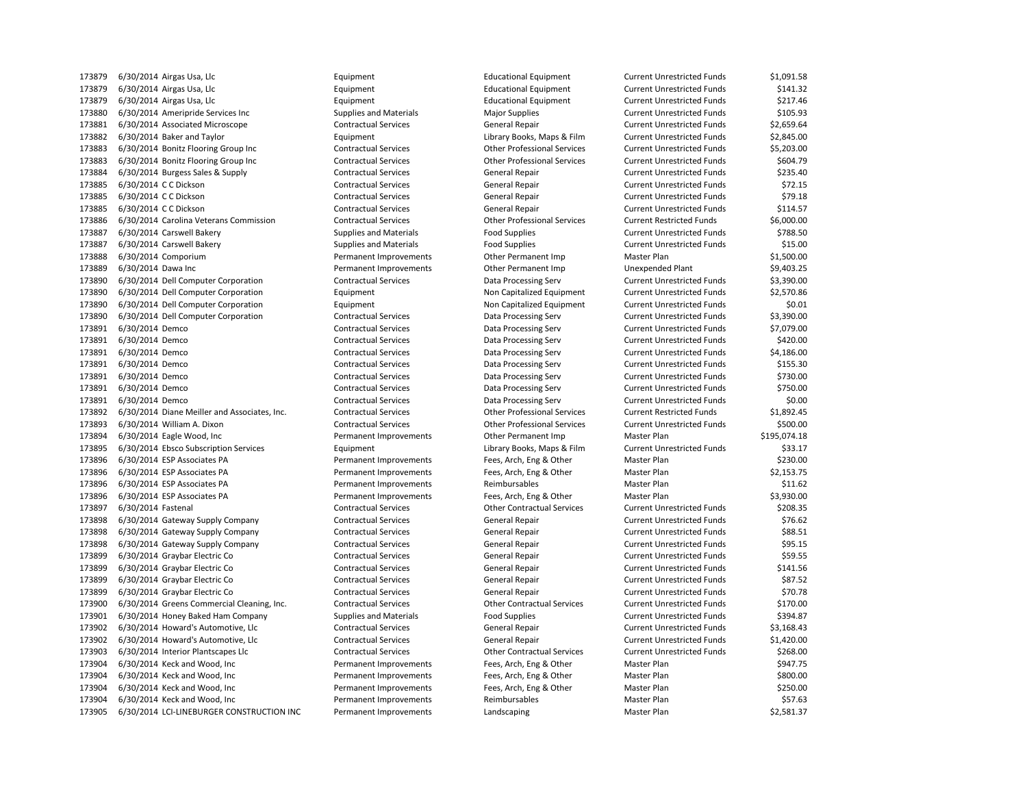6/30/2014 Airgas Usa, Llc Equipment Educational Equipment Current Unrestricted Funds \$1,091.58 6/30/2014 Airgas Usa, Llc Equipment Educational Equipment Current Unrestricted Funds \$141.32 6/30/2014 Airgas Usa, Llc Equipment Educational Equipment Current Unrestricted Funds \$217.46 6/30/2014 Ameripride Services Inc Supplies and Materials Major Supplies Current Unrestricted Funds \$105.93 6/30/2014 Associated Microscope Contractual Services General Repair Current Unrestricted Funds \$2,659.64 6/30/2014 Baker and Taylor Equipment Library Books, Maps & Film Current Unrestricted Funds \$2,845.00 6/30/2014 Bonitz Flooring Group Inc Contractual Services Other Professional Services Current Unrestricted Funds \$5,203.00 6/30/2014 Bonitz Flooring Group Inc Contractual Services Other Professional Services Current Unrestricted Funds \$604.79 173884 6/30/2014 Burgess Sales & Supply Contractual Services General Repair Current Unrestricted Funds \$235.40 173885 6/30/2014 CC Dickson Contractual Services General Repair Current Unrestricted Funds \$72.15 173885 6/30/2014 CC Dickson Contractual Services General Repair Current Unrestricted Funds \$79.18 173885 6/30/2014 CC Dickson Contractual Services General Repair Current Unrestricted Funds \$114.57 6/30/2014 Carolina Veterans Commission Contractual Services Other Professional Services Current Restricted Funds \$6,000.00 173887 6/30/2014 Carswell Bakery Supplies and Materials Food Supplies Food Supplies Current Unrestricted Funds \$788.50 173887 6/30/2014 Carswell Bakery **Supplies and Materials** Food Supplies **Food Supplies Current Unrestricted Funds** \$15.00 6/30/2014 Comporium Permanent Improvements Other Permanent Imp Master Plan \$1,500.00 6/30/2014 Dawa Inc Permanent Improvements Other Permanent Imp Unexpended Plant \$9,403.25 6/30/2014 Dell Computer Corporation Contractual Services Data Processing Serv Current Unrestricted Funds \$3,390.00 6/30/2014 Dell Computer Corporation Equipment Non Capitalized Equipment Current Unrestricted Funds \$2,570.86 6/30/2014 Dell Computer Corporation Equipment Non Capitalized Equipment Current Unrestricted Funds \$0.01 6/30/2014 Dell Computer Corporation Contractual Services Data Processing Serv Current Unrestricted Funds \$3,390.00 6/30/2014 Demco Contractual Services Data Processing Serv Current Unrestricted Funds \$7,079.00 6/30/2014 Demco Contractual Services Data Processing Serv Current Unrestricted Funds \$420.00 6/30/2014 Demco Contractual Services Data Processing Serv Current Unrestricted Funds \$4,186.00 173891 6/30/2014 Demco S155.30 Contractual Services Data Processing Serv Current Unrestricted Funds \$155.30 6/30/2014 Demco Contractual Services Data Processing Serv Current Unrestricted Funds \$730.00 6/30/2014 Demco Contractual Services Data Processing Serv Current Unrestricted Funds \$750.00 6/30/2014 Demco Contractual Services Data Processing Serv Current Unrestricted Funds \$0.00 6/30/2014 Diane Meiller and Associates, Inc. Contractual Services Other Professional Services Current Restricted Funds \$1,892.45 6/30/2014 William A. Dixon Contractual Services Other Professional Services Current Unrestricted Funds \$500.00 6/30/2014 Eagle Wood, Inc Permanent Improvements Other Permanent Imp Master Plan \$195,074.18 6/30/2014 Ebsco Subscription Services Equipment Library Books, Maps & Film Current Unrestricted Funds \$33.17 6/30/2014 ESP Associates PA Permanent Improvements Fees, Arch, Eng & Other Master Plan \$230.00 6/30/2014 ESP Associates PA Permanent Improvements Fees, Arch, Eng & Other Master Plan \$2,153.75 6/30/2014 ESP Associates PA Permanent Improvements Reimbursables Master Plan \$11.62 6/30/2014 ESP Associates PA Permanent Improvements Fees, Arch, Eng & Other Master Plan \$3,930.00 6/30/2014 Fastenal Contractual Services Other Contractual Services Current Unrestricted Funds \$208.35 173898 6/30/2014 Gateway Supply Company Contractual Services General Repair Current Unrestricted Funds \$76.62 173898 6/30/2014 Gateway Supply Company Contractual Services General Repair Current Unrestricted Funds \$88.51 173898 6/30/2014 Gateway Supply Company Contractual Services General Repair Current Unrestricted Funds \$95.15 6/30/2014 Graybar Electric Co Contractual Services General Repair Current Unrestricted Funds \$59.55 6/30/2014 Graybar Electric Co Contractual Services General Repair Current Unrestricted Funds \$141.56 6/30/2014 Graybar Electric Co Contractual Services General Repair Current Unrestricted Funds \$87.52 6/30/2014 Graybar Electric Co Contractual Services General Repair Current Unrestricted Funds \$70.78 6/30/2014 Greens Commercial Cleaning, Inc. Contractual Services Other Contractual Services Current Unrestricted Funds \$170.00 173901 6/30/2014 Honey Baked Ham Company Supplies and Materials Food Supplies Food Supplies Current Unrestricted Funds \$394.87 173902 6/30/2014 Howard's Automotive, Llc Contractual Services General Repair Current Unrestricted Funds \$3,168.43 6/30/2014 Howard's Automotive, Llc Contractual Services General Repair Current Unrestricted Funds \$1,420.00 6/30/2014 Interior Plantscapes Llc Contractual Services Other Contractual Services Current Unrestricted Funds \$268.00 6/30/2014 Keck and Wood, Inc Permanent Improvements Fees, Arch, Eng & Other Master Plan \$947.75 6/30/2014 Keck and Wood, Inc Permanent Improvements Fees, Arch, Eng & Other Master Plan \$800.00 6/30/2014 Keck and Wood, Inc Permanent Improvements Fees, Arch, Eng & Other Master Plan \$250.00 173904 6/30/2014 Keck and Wood, Inc **Permanent Improvements** Reimbursables Master Plan \$57.63 173905 6/30/2014 LCI-LINEBURGER CONSTRUCTION INC Permanent Improvements Landscaping Master Plan Master Plan \$2,581.37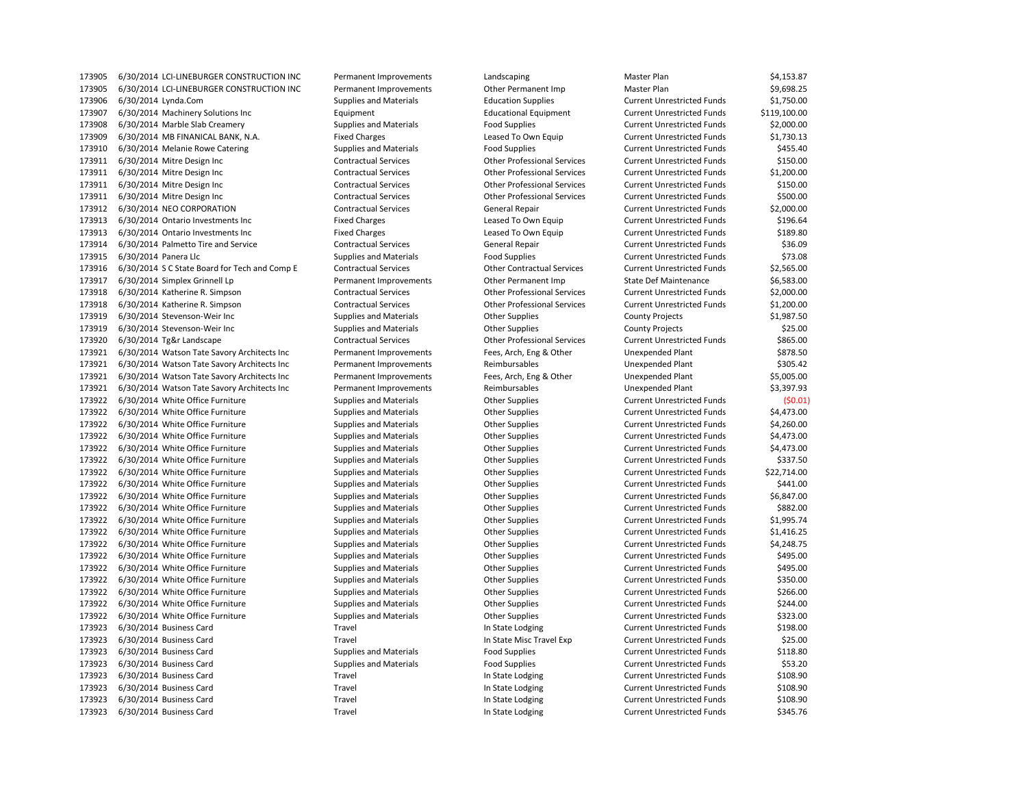6/30/2014 LCI-LINEBURGER CONSTRUCTION INC Permanent Improvements Other Permanent Imp Master Plan \$9,698.25 6/30/2014 Lynda.Com Supplies and Materials Education Supplies Current Unrestricted Funds \$1,750.00 6/30/2014 Machinery Solutions Inc Equipment Educational Equipment Current Unrestricted Funds \$119,100.00 6/30/2014 Marble Slab Creamery Supplies and Materials Food Supplies Current Unrestricted Funds \$2,000.00 6/30/2014 MB FINANICAL BANK, N.A. Fixed Charges Leased To Own Equip Current Unrestricted Funds \$1,730.13 173910 6/30/2014 Melanie Rowe Catering Supplies and Materials Food Supplies Current Unrestricted Funds \$455.40 6/30/2014 Mitre Design Inc Contractual Services Other Professional Services Current Unrestricted Funds \$150.00 6/30/2014 Mitre Design Inc Contractual Services Other Professional Services Current Unrestricted Funds \$1,200.00 6/30/2014 Mitre Design Inc Contractual Services Other Professional Services Current Unrestricted Funds \$150.00 6/30/2014 Mitre Design Inc Contractual Services Other Professional Services Current Unrestricted Funds \$500.00 6/30/2014 NEO CORPORATION Contractual Services General Repair Current Unrestricted Funds \$2,000.00 173913 6/30/2014 Ontario Investments Inc Fixed Charges Fixed Charges Leased To Own Equip Current Unrestricted Funds \$196.64 6/30/2014 Ontario Investments Inc Fixed Charges Leased To Own Equip Current Unrestricted Funds \$189.80 6/30/2014 Palmetto Tire and Service Contractual Services General Repair Current Unrestricted Funds \$36.09 173915 6/30/2014 Panera Llc **Supplies And Materials** Food Supplies Food Supplies Current Unrestricted Funds \$73.08 6/30/2014 S C State Board for Tech and Comp E Contractual Services Other Contractual Services Current Unrestricted Funds \$2,565.00 6/30/2014 Simplex Grinnell Lp Permanent Improvements Other Permanent Imp State Def Maintenance \$6,583.00 6/30/2014 Katherine R. Simpson Contractual Services Other Professional Services Current Unrestricted Funds \$2,000.00 6/30/2014 Katherine R. Simpson Contractual Services Other Professional Services Current Unrestricted Funds \$1,200.00 6/30/2014 Stevenson-Weir Inc Supplies and Materials Other Supplies County Projects \$1,987.50 173919 6/30/2014 Stevenson-Weir Inc examples and Materials County Projects County Projects \$25.00 6/30/2014 Tg&r Landscape Contractual Services Other Professional Services Current Unrestricted Funds \$865.00 6/30/2014 Watson Tate Savory Architects Inc Permanent Improvements Fees, Arch, Eng & Other Unexpended Plant \$878.50 6/30/2014 Watson Tate Savory Architects Inc Permanent Improvements Reimbursables Unexpended Plant \$305.42 6/30/2014 Watson Tate Savory Architects Inc Permanent Improvements Fees, Arch, Eng & Other Unexpended Plant \$5,005.00 6/30/2014 Watson Tate Savory Architects Inc Permanent Improvements Reimbursables Unexpended Plant \$3,397.93 6/30/2014 White Office Furniture Supplies and Materials Other Supplies Current Unrestricted Funds (\$0.01) 6/30/2014 White Office Furniture Supplies and Materials Other Supplies Current Unrestricted Funds \$4,473.00 6/30/2014 White Office Furniture Supplies and Materials Other Supplies Current Unrestricted Funds \$4,260.00 6/30/2014 White Office Furniture Supplies and Materials Other Supplies Current Unrestricted Funds \$4,473.00 173922 6/30/2014 White Office Furniture Supplies and Materials Current Unrestricted Funds \$4,473.00 6/30/2014 White Office Furniture Supplies and Materials Other Supplies Current Unrestricted Funds \$337.50 173922 6/30/2014 White Office Furniture Supplies and Materials Current Unrestricted Funds \$22,714.00 6/30/2014 White Office Furniture Supplies and Materials Other Supplies Current Unrestricted Funds \$441.00 173922 6/30/2014 White Office Furniture Supplies and Materials Current Unrestricted Funds \$6,847.00 6/30/2014 White Office Furniture Supplies and Materials Other Supplies Current Unrestricted Funds \$882.00 173922 6/30/2014 White Office Furniture Supplies and Materials Current Unrestricted Funds \$1,995.74 6/30/2014 White Office Furniture Supplies and Materials Other Supplies Current Unrestricted Funds \$1,416.25 173922 6/30/2014 White Office Furniture Supplies and Materials Current Unrestricted Funds \$4,248.75 173922 6/30/2014 White Office Furniture Supplies and Materials Current Unrestricted Funds 5495.00 173922 6/30/2014 White Office Furniture Supplies and Materials Current Unrestricted Funds 5495.00 6/30/2014 White Office Furniture Supplies and Materials Other Supplies Current Unrestricted Funds \$350.00 173922 6/30/2014 White Office Furniture Supplies and Materials Current Unrestricted Funds \$266.00 173922 6/30/2014 White Office Furniture Supplies and Materials Current Unrestricted Funds 5244.00 173922 6/30/2014 White Office Furniture Supplies and Materials Current Unrestricted Funds 5323.00 173923 6/30/2014 Business Card Travel Travel Travel Current Unrestricted Funds \$198.00 173923 6/30/2014 Business Card Travel Travel Travel Current Unrestricted Funds \$25.00 6/30/2014 Business Card Supplies and Materials Food Supplies Current Unrestricted Funds \$118.80 173923 6/30/2014 Business Card Supplies and Materials Food Supplies Food Supplies Current Unrestricted Funds \$53.20 173923 6/30/2014 Business Card Travel Travel Travel Current Unrestricted Funds \$108.90 6/30/2014 Business Card Travel In State Lodging Current Unrestricted Funds \$108.90 173923 6/30/2014 Business Card Travel Travel Travel Current Unrestricted Funds \$108.90 173923 6/30/2014 Business Card Travel Travel Travel Current Unrestricted Funds \$345.76

173905 6/30/2014 LCI-LINEBURGER CONSTRUCTION INC Permanent Improvements Landscaping Landscaping Master Plan \$4,153.87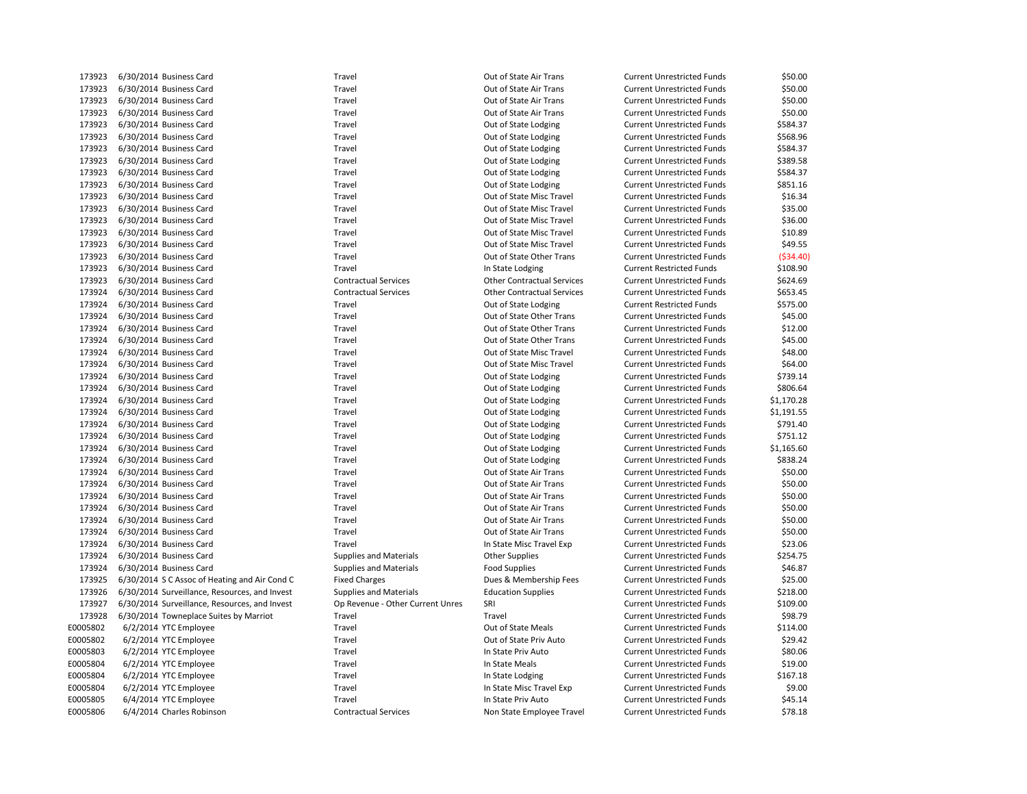| 173923   | 6/30/2014 Business Card                       | Travel                           | Out of State Air Trans            | <b>Current Unrestricted Funds</b> | \$50.00    |
|----------|-----------------------------------------------|----------------------------------|-----------------------------------|-----------------------------------|------------|
| 173923   | 6/30/2014 Business Card                       | Travel                           | Out of State Air Trans            | <b>Current Unrestricted Funds</b> | \$50.00    |
| 173923   | 6/30/2014 Business Card                       | Travel                           | Out of State Air Trans            | <b>Current Unrestricted Funds</b> | \$50.00    |
| 173923   | 6/30/2014 Business Card                       | Travel                           | Out of State Air Trans            | <b>Current Unrestricted Funds</b> | \$50.00    |
| 173923   | 6/30/2014 Business Card                       | Travel                           | Out of State Lodging              | <b>Current Unrestricted Funds</b> | \$584.37   |
| 173923   | 6/30/2014 Business Card                       | Travel                           | Out of State Lodging              | <b>Current Unrestricted Funds</b> | \$568.96   |
| 173923   | 6/30/2014 Business Card                       | Travel                           | Out of State Lodging              | <b>Current Unrestricted Funds</b> | \$584.37   |
| 173923   | 6/30/2014 Business Card                       | Travel                           | Out of State Lodging              | <b>Current Unrestricted Funds</b> | \$389.58   |
| 173923   | 6/30/2014 Business Card                       | Travel                           | Out of State Lodging              | <b>Current Unrestricted Funds</b> | \$584.37   |
| 173923   | 6/30/2014 Business Card                       | Travel                           | Out of State Lodging              | <b>Current Unrestricted Funds</b> | \$851.16   |
| 173923   | 6/30/2014 Business Card                       | Travel                           | Out of State Misc Travel          | <b>Current Unrestricted Funds</b> | \$16.34    |
| 173923   | 6/30/2014 Business Card                       | Travel                           | Out of State Misc Travel          | <b>Current Unrestricted Funds</b> | \$35.00    |
| 173923   | 6/30/2014 Business Card                       | Travel                           | Out of State Misc Travel          | <b>Current Unrestricted Funds</b> | \$36.00    |
| 173923   | 6/30/2014 Business Card                       | Travel                           | Out of State Misc Travel          | <b>Current Unrestricted Funds</b> | \$10.89    |
| 173923   | 6/30/2014 Business Card                       | Travel                           | Out of State Misc Travel          | <b>Current Unrestricted Funds</b> | \$49.55    |
| 173923   | 6/30/2014 Business Card                       | Travel                           | Out of State Other Trans          | <b>Current Unrestricted Funds</b> | ( \$34.40) |
| 173923   | 6/30/2014 Business Card                       | Travel                           | In State Lodging                  | <b>Current Restricted Funds</b>   | \$108.90   |
| 173923   | 6/30/2014 Business Card                       | <b>Contractual Services</b>      | <b>Other Contractual Services</b> | <b>Current Unrestricted Funds</b> | \$624.69   |
| 173924   | 6/30/2014 Business Card                       | <b>Contractual Services</b>      | <b>Other Contractual Services</b> | <b>Current Unrestricted Funds</b> | \$653.45   |
| 173924   | 6/30/2014 Business Card                       | Travel                           | Out of State Lodging              | <b>Current Restricted Funds</b>   | \$575.00   |
| 173924   | 6/30/2014 Business Card                       | Travel                           | Out of State Other Trans          | <b>Current Unrestricted Funds</b> | \$45.00    |
| 173924   | 6/30/2014 Business Card                       | Travel                           | Out of State Other Trans          | <b>Current Unrestricted Funds</b> | \$12.00    |
| 173924   | 6/30/2014 Business Card                       | Travel                           | Out of State Other Trans          | <b>Current Unrestricted Funds</b> | \$45.00    |
| 173924   |                                               | Travel                           | Out of State Misc Travel          | <b>Current Unrestricted Funds</b> | \$48.00    |
| 173924   | 6/30/2014 Business Card                       | Travel                           |                                   |                                   | \$64.00    |
|          | 6/30/2014 Business Card                       |                                  | Out of State Misc Travel          | <b>Current Unrestricted Funds</b> |            |
| 173924   | 6/30/2014 Business Card                       | Travel                           | Out of State Lodging              | <b>Current Unrestricted Funds</b> | \$739.14   |
| 173924   | 6/30/2014 Business Card                       | Travel                           | Out of State Lodging              | <b>Current Unrestricted Funds</b> | \$806.64   |
| 173924   | 6/30/2014 Business Card                       | Travel                           | Out of State Lodging              | <b>Current Unrestricted Funds</b> | \$1,170.28 |
| 173924   | 6/30/2014 Business Card                       | Travel                           | Out of State Lodging              | <b>Current Unrestricted Funds</b> | \$1,191.55 |
| 173924   | 6/30/2014 Business Card                       | Travel                           | Out of State Lodging              | <b>Current Unrestricted Funds</b> | \$791.40   |
| 173924   | 6/30/2014 Business Card                       | Travel                           | Out of State Lodging              | <b>Current Unrestricted Funds</b> | \$751.12   |
| 173924   | 6/30/2014 Business Card                       | Travel                           | Out of State Lodging              | <b>Current Unrestricted Funds</b> | \$1,165.60 |
| 173924   | 6/30/2014 Business Card                       | Travel                           | Out of State Lodging              | <b>Current Unrestricted Funds</b> | \$838.24   |
| 173924   | 6/30/2014 Business Card                       | Travel                           | Out of State Air Trans            | <b>Current Unrestricted Funds</b> | \$50.00    |
| 173924   | 6/30/2014 Business Card                       | Travel                           | Out of State Air Trans            | <b>Current Unrestricted Funds</b> | \$50.00    |
| 173924   | 6/30/2014 Business Card                       | Travel                           | Out of State Air Trans            | <b>Current Unrestricted Funds</b> | \$50.00    |
| 173924   | 6/30/2014 Business Card                       | Travel                           | Out of State Air Trans            | <b>Current Unrestricted Funds</b> | \$50.00    |
| 173924   | 6/30/2014 Business Card                       | Travel                           | Out of State Air Trans            | <b>Current Unrestricted Funds</b> | \$50.00    |
| 173924   | 6/30/2014 Business Card                       | Travel                           | Out of State Air Trans            | <b>Current Unrestricted Funds</b> | \$50.00    |
| 173924   | 6/30/2014 Business Card                       | Travel                           | In State Misc Travel Exp          | <b>Current Unrestricted Funds</b> | \$23.06    |
| 173924   | 6/30/2014 Business Card                       | <b>Supplies and Materials</b>    | <b>Other Supplies</b>             | <b>Current Unrestricted Funds</b> | \$254.75   |
| 173924   | 6/30/2014 Business Card                       | <b>Supplies and Materials</b>    | <b>Food Supplies</b>              | <b>Current Unrestricted Funds</b> | \$46.87    |
| 173925   | 6/30/2014 S C Assoc of Heating and Air Cond C | <b>Fixed Charges</b>             | Dues & Membership Fees            | <b>Current Unrestricted Funds</b> | \$25.00    |
| 173926   | 6/30/2014 Surveillance, Resources, and Invest | <b>Supplies and Materials</b>    | <b>Education Supplies</b>         | <b>Current Unrestricted Funds</b> | \$218.00   |
| 173927   | 6/30/2014 Surveillance, Resources, and Invest | Op Revenue - Other Current Unres | SRI                               | <b>Current Unrestricted Funds</b> | \$109.00   |
| 173928   | 6/30/2014 Towneplace Suites by Marriot        | Travel                           | Travel                            | <b>Current Unrestricted Funds</b> | \$98.79    |
| E0005802 | 6/2/2014 YTC Employee                         | Travel                           | Out of State Meals                | <b>Current Unrestricted Funds</b> | \$114.00   |
| E0005802 | 6/2/2014 YTC Employee                         | Travel                           | Out of State Priv Auto            | <b>Current Unrestricted Funds</b> | \$29.42    |
| E0005803 | 6/2/2014 YTC Employee                         | Travel                           | In State Priv Auto                | <b>Current Unrestricted Funds</b> | \$80.06    |
| E0005804 | 6/2/2014 YTC Employee                         | Travel                           | In State Meals                    | <b>Current Unrestricted Funds</b> | \$19.00    |
| E0005804 | 6/2/2014 YTC Employee                         | Travel                           | In State Lodging                  | <b>Current Unrestricted Funds</b> | \$167.18   |
| E0005804 | 6/2/2014 YTC Employee                         | Travel                           | In State Misc Travel Exp          | <b>Current Unrestricted Funds</b> | \$9.00     |
| E0005805 | 6/4/2014 YTC Employee                         | Travel                           | In State Priv Auto                | <b>Current Unrestricted Funds</b> | \$45.14    |
| E0005806 | 6/4/2014 Charles Robinson                     | <b>Contractual Services</b>      | Non State Employee Travel         | <b>Current Unrestricted Funds</b> | \$78.18    |
|          |                                               |                                  |                                   |                                   |            |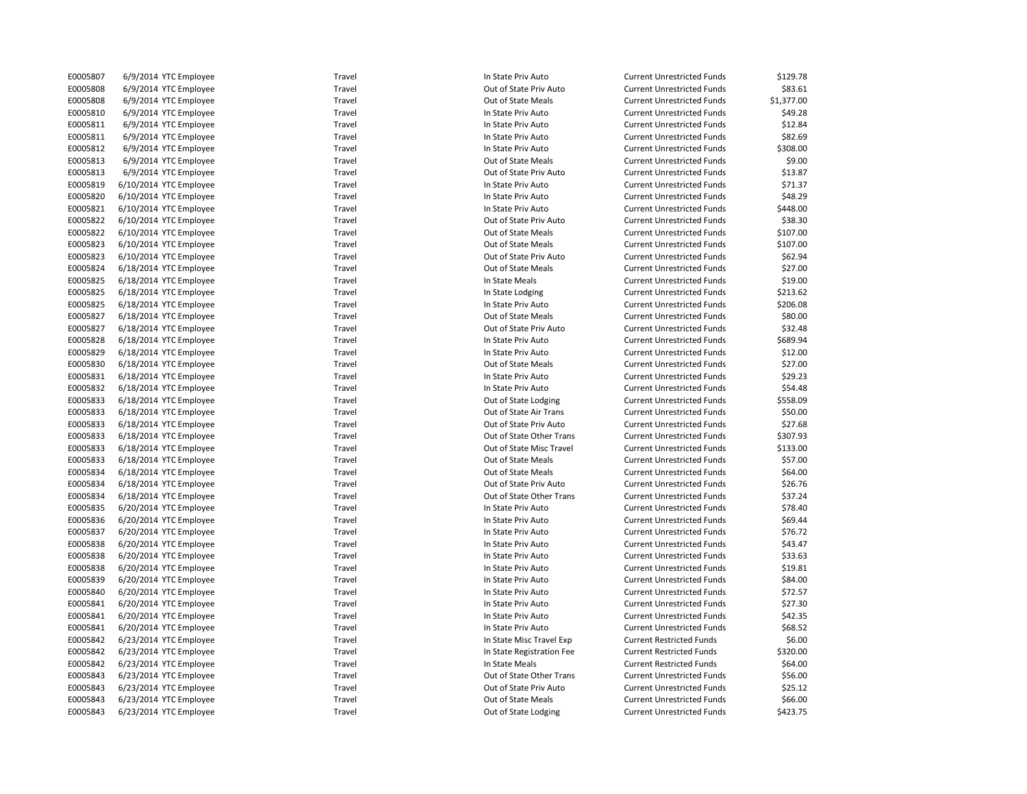| E0005807 | 6/9/2014 YTC Employee  | Travel | In State Priv Auto        | <b>Current Unrestricted Funds</b> | \$129.78   |
|----------|------------------------|--------|---------------------------|-----------------------------------|------------|
| E0005808 | 6/9/2014 YTC Employee  | Travel | Out of State Priv Auto    | <b>Current Unrestricted Funds</b> | \$83.61    |
| E0005808 | 6/9/2014 YTC Employee  | Travel | Out of State Meals        | <b>Current Unrestricted Funds</b> | \$1,377.00 |
| E0005810 | 6/9/2014 YTC Employee  | Travel | In State Priv Auto        | <b>Current Unrestricted Funds</b> | \$49.28    |
| E0005811 | 6/9/2014 YTC Employee  | Travel | In State Priv Auto        | <b>Current Unrestricted Funds</b> | \$12.84    |
| E0005811 | 6/9/2014 YTC Employee  | Travel | In State Priv Auto        | <b>Current Unrestricted Funds</b> | \$82.69    |
| E0005812 | 6/9/2014 YTC Employee  | Travel | In State Priv Auto        | <b>Current Unrestricted Funds</b> | \$308.00   |
| E0005813 | 6/9/2014 YTC Employee  | Travel | Out of State Meals        | <b>Current Unrestricted Funds</b> | \$9.00     |
| E0005813 | 6/9/2014 YTC Employee  | Travel | Out of State Priv Auto    | <b>Current Unrestricted Funds</b> | \$13.87    |
| E0005819 | 6/10/2014 YTC Employee | Travel | In State Priv Auto        | <b>Current Unrestricted Funds</b> | \$71.37    |
| E0005820 | 6/10/2014 YTC Employee | Travel | In State Priv Auto        | <b>Current Unrestricted Funds</b> | \$48.29    |
| E0005821 | 6/10/2014 YTC Employee | Travel | In State Priv Auto        | <b>Current Unrestricted Funds</b> | \$448.00   |
| E0005822 | 6/10/2014 YTC Employee | Travel | Out of State Priv Auto    | <b>Current Unrestricted Funds</b> | \$38.30    |
| E0005822 | 6/10/2014 YTC Employee | Travel | Out of State Meals        | <b>Current Unrestricted Funds</b> | \$107.00   |
| E0005823 | 6/10/2014 YTC Employee | Travel | Out of State Meals        | <b>Current Unrestricted Funds</b> | \$107.00   |
| E0005823 | 6/10/2014 YTC Employee | Travel | Out of State Priv Auto    | <b>Current Unrestricted Funds</b> | \$62.94    |
| E0005824 | 6/18/2014 YTC Employee | Travel | Out of State Meals        | <b>Current Unrestricted Funds</b> | \$27.00    |
| E0005825 | 6/18/2014 YTC Employee | Travel | In State Meals            | <b>Current Unrestricted Funds</b> | \$19.00    |
| E0005825 | 6/18/2014 YTC Employee | Travel |                           |                                   | \$213.62   |
| E0005825 |                        | Travel | In State Lodging          | <b>Current Unrestricted Funds</b> | \$206.08   |
|          | 6/18/2014 YTC Employee |        | In State Priv Auto        | <b>Current Unrestricted Funds</b> |            |
| E0005827 | 6/18/2014 YTC Employee | Travel | Out of State Meals        | <b>Current Unrestricted Funds</b> | \$80.00    |
| E0005827 | 6/18/2014 YTC Employee | Travel | Out of State Priv Auto    | <b>Current Unrestricted Funds</b> | \$32.48    |
| E0005828 | 6/18/2014 YTC Employee | Travel | In State Priv Auto        | <b>Current Unrestricted Funds</b> | \$689.94   |
| E0005829 | 6/18/2014 YTC Employee | Travel | In State Priv Auto        | <b>Current Unrestricted Funds</b> | \$12.00    |
| E0005830 | 6/18/2014 YTC Employee | Travel | Out of State Meals        | <b>Current Unrestricted Funds</b> | \$27.00    |
| E0005831 | 6/18/2014 YTC Employee | Travel | In State Priv Auto        | <b>Current Unrestricted Funds</b> | \$29.23    |
| E0005832 | 6/18/2014 YTC Employee | Travel | In State Priv Auto        | <b>Current Unrestricted Funds</b> | \$54.48    |
| E0005833 | 6/18/2014 YTC Employee | Travel | Out of State Lodging      | <b>Current Unrestricted Funds</b> | \$558.09   |
| E0005833 | 6/18/2014 YTC Employee | Travel | Out of State Air Trans    | <b>Current Unrestricted Funds</b> | \$50.00    |
| E0005833 | 6/18/2014 YTC Employee | Travel | Out of State Priv Auto    | <b>Current Unrestricted Funds</b> | \$27.68    |
| E0005833 | 6/18/2014 YTC Employee | Travel | Out of State Other Trans  | <b>Current Unrestricted Funds</b> | \$307.93   |
| E0005833 | 6/18/2014 YTC Employee | Travel | Out of State Misc Travel  | <b>Current Unrestricted Funds</b> | \$133.00   |
| E0005833 | 6/18/2014 YTC Employee | Travel | Out of State Meals        | <b>Current Unrestricted Funds</b> | \$57.00    |
| E0005834 | 6/18/2014 YTC Employee | Travel | Out of State Meals        | <b>Current Unrestricted Funds</b> | \$64.00    |
| E0005834 | 6/18/2014 YTC Employee | Travel | Out of State Priv Auto    | <b>Current Unrestricted Funds</b> | \$26.76    |
| E0005834 | 6/18/2014 YTC Employee | Travel | Out of State Other Trans  | <b>Current Unrestricted Funds</b> | \$37.24    |
| E0005835 | 6/20/2014 YTC Employee | Travel | In State Priv Auto        | <b>Current Unrestricted Funds</b> | \$78.40    |
| E0005836 | 6/20/2014 YTC Employee | Travel | In State Priv Auto        | <b>Current Unrestricted Funds</b> | \$69.44    |
| E0005837 | 6/20/2014 YTC Employee | Travel | In State Priv Auto        | <b>Current Unrestricted Funds</b> | \$76.72    |
| E0005838 | 6/20/2014 YTC Employee | Travel | In State Priv Auto        | <b>Current Unrestricted Funds</b> | \$43.47    |
| E0005838 | 6/20/2014 YTC Employee | Travel | In State Priv Auto        | <b>Current Unrestricted Funds</b> | \$33.63    |
| E0005838 | 6/20/2014 YTC Employee | Travel | In State Priv Auto        | <b>Current Unrestricted Funds</b> | \$19.81    |
| E0005839 | 6/20/2014 YTC Employee | Travel | In State Priv Auto        | <b>Current Unrestricted Funds</b> | \$84.00    |
| E0005840 | 6/20/2014 YTC Employee | Travel | In State Priv Auto        | <b>Current Unrestricted Funds</b> | \$72.57    |
| E0005841 | 6/20/2014 YTC Employee | Travel | In State Priv Auto        | <b>Current Unrestricted Funds</b> | \$27.30    |
| E0005841 | 6/20/2014 YTC Employee | Travel | In State Priv Auto        | <b>Current Unrestricted Funds</b> | \$42.35    |
| E0005841 | 6/20/2014 YTC Employee | Travel | In State Priv Auto        | <b>Current Unrestricted Funds</b> | \$68.52    |
| E0005842 | 6/23/2014 YTC Employee | Travel | In State Misc Travel Exp  | <b>Current Restricted Funds</b>   | \$6.00     |
| E0005842 | 6/23/2014 YTC Employee | Travel | In State Registration Fee | <b>Current Restricted Funds</b>   | \$320.00   |
| E0005842 | 6/23/2014 YTC Employee | Travel | In State Meals            | <b>Current Restricted Funds</b>   | \$64.00    |
| E0005843 | 6/23/2014 YTC Employee | Travel | Out of State Other Trans  | <b>Current Unrestricted Funds</b> | \$56.00    |
| E0005843 | 6/23/2014 YTC Employee | Travel | Out of State Priv Auto    | <b>Current Unrestricted Funds</b> | \$25.12    |
| E0005843 | 6/23/2014 YTC Employee | Travel | Out of State Meals        | <b>Current Unrestricted Funds</b> | \$66.00    |
| E0005843 | 6/23/2014 YTC Employee | Travel | Out of State Lodging      | <b>Current Unrestricted Funds</b> | \$423.75   |
|          |                        |        |                           |                                   |            |